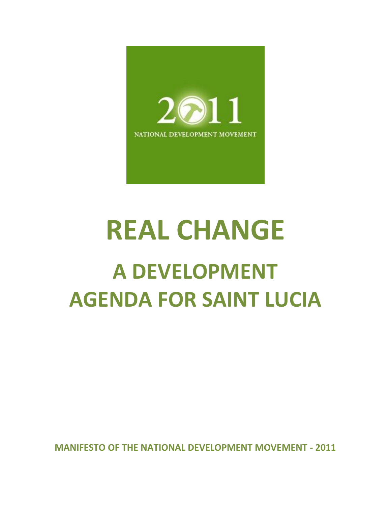

# **REAL CHANGE A DEVELOPMENT AGENDA FOR SAINT LUCIA**

**MANIFESTO OF THE NATIONAL DEVELOPMENT MOVEMENT - 2011**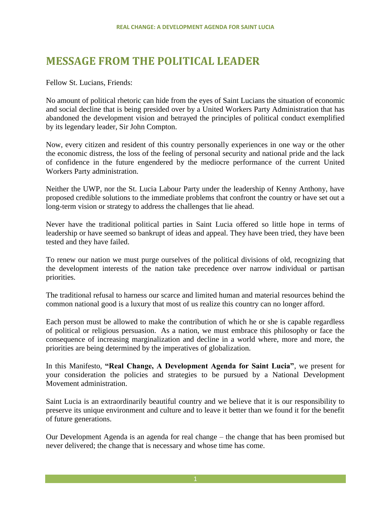# **MESSAGE FROM THE POLITICAL LEADER**

Fellow St. Lucians, Friends:

No amount of political rhetoric can hide from the eyes of Saint Lucians the situation of economic and social decline that is being presided over by a United Workers Party Administration that has abandoned the development vision and betrayed the principles of political conduct exemplified by its legendary leader, Sir John Compton.

Now, every citizen and resident of this country personally experiences in one way or the other the economic distress, the loss of the feeling of personal security and national pride and the lack of confidence in the future engendered by the mediocre performance of the current United Workers Party administration.

Neither the UWP, nor the St. Lucia Labour Party under the leadership of Kenny Anthony, have proposed credible solutions to the immediate problems that confront the country or have set out a long-term vision or strategy to address the challenges that lie ahead.

Never have the traditional political parties in Saint Lucia offered so little hope in terms of leadership or have seemed so bankrupt of ideas and appeal. They have been tried, they have been tested and they have failed.

To renew our nation we must purge ourselves of the political divisions of old, recognizing that the development interests of the nation take precedence over narrow individual or partisan priorities.

The traditional refusal to harness our scarce and limited human and material resources behind the common national good is a luxury that most of us realize this country can no longer afford.

Each person must be allowed to make the contribution of which he or she is capable regardless of political or religious persuasion. As a nation, we must embrace this philosophy or face the consequence of increasing marginalization and decline in a world where, more and more, the priorities are being determined by the imperatives of globalization.

In this Manifesto, **"Real Change, A Development Agenda for Saint Lucia"**, we present for your consideration the policies and strategies to be pursued by a National Development Movement administration.

Saint Lucia is an extraordinarily beautiful country and we believe that it is our responsibility to preserve its unique environment and culture and to leave it better than we found it for the benefit of future generations.

Our Development Agenda is an agenda for real change – the change that has been promised but never delivered; the change that is necessary and whose time has come.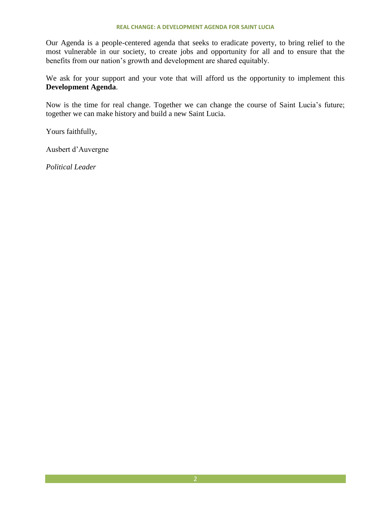Our Agenda is a people-centered agenda that seeks to eradicate poverty, to bring relief to the most vulnerable in our society, to create jobs and opportunity for all and to ensure that the benefits from our nation's growth and development are shared equitably.

We ask for your support and your vote that will afford us the opportunity to implement this **Development Agenda**.

Now is the time for real change. Together we can change the course of Saint Lucia's future; together we can make history and build a new Saint Lucia.

Yours faithfully,

Ausbert d'Auvergne

*Political Leader*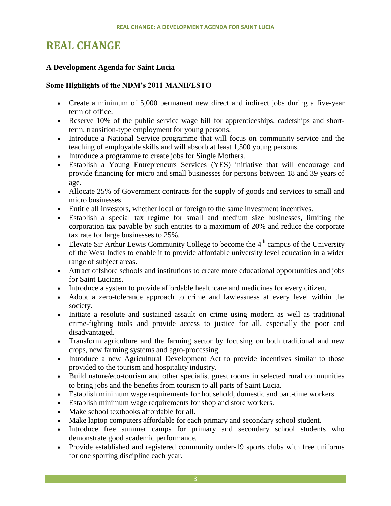# **REAL CHANGE**

# **A Development Agenda for Saint Lucia**

# **Some Highlights of the NDM's 2011 MANIFESTO**

- Create a minimum of 5,000 permanent new direct and indirect jobs during a five-year term of office.
- Reserve 10% of the public service wage bill for apprenticeships, cadetships and shortterm, transition-type employment for young persons.
- Introduce a National Service programme that will focus on community service and the teaching of employable skills and will absorb at least 1,500 young persons.
- Introduce a programme to create jobs for Single Mothers.
- Establish a Young Entrepreneurs Services (YES) initiative that will encourage and provide financing for micro and small businesses for persons between 18 and 39 years of age.
- Allocate 25% of Government contracts for the supply of goods and services to small and micro businesses.
- Entitle all investors, whether local or foreign to the same investment incentives.
- Establish a special tax regime for small and medium size businesses, limiting the corporation tax payable by such entities to a maximum of 20% and reduce the corporate tax rate for large businesses to 25%.
- Elevate Sir Arthur Lewis Community College to become the  $4<sup>th</sup>$  campus of the University of the West Indies to enable it to provide affordable university level education in a wider range of subject areas.
- Attract offshore schools and institutions to create more educational opportunities and jobs for Saint Lucians.
- Introduce a system to provide affordable healthcare and medicines for every citizen.
- Adopt a zero-tolerance approach to crime and lawlessness at every level within the society.
- Initiate a resolute and sustained assault on crime using modern as well as traditional crime-fighting tools and provide access to justice for all, especially the poor and disadvantaged.
- Transform agriculture and the farming sector by focusing on both traditional and new crops, new farming systems and agro-processing.
- Introduce a new Agricultural Development Act to provide incentives similar to those provided to the tourism and hospitality industry.
- Build nature/eco-tourism and other specialist guest rooms in selected rural communities to bring jobs and the benefits from tourism to all parts of Saint Lucia.
- Establish minimum wage requirements for household, domestic and part-time workers.
- Establish minimum wage requirements for shop and store workers.
- Make school textbooks affordable for all.
- Make laptop computers affordable for each primary and secondary school student.
- Introduce free summer camps for primary and secondary school students who demonstrate good academic performance.
- Provide established and registered community under-19 sports clubs with free uniforms for one sporting discipline each year.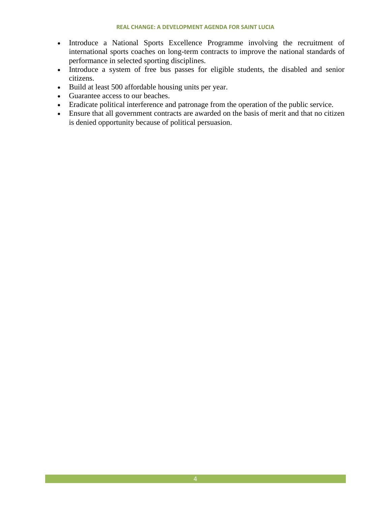- Introduce a National Sports Excellence Programme involving the recruitment of international sports coaches on long-term contracts to improve the national standards of performance in selected sporting disciplines.
- Introduce a system of free bus passes for eligible students, the disabled and senior citizens.
- Build at least 500 affordable housing units per year.
- Guarantee access to our beaches.
- Eradicate political interference and patronage from the operation of the public service.
- Ensure that all government contracts are awarded on the basis of merit and that no citizen is denied opportunity because of political persuasion.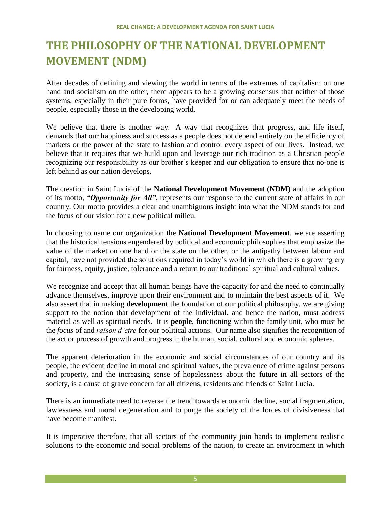# **THE PHILOSOPHY OF THE NATIONAL DEVELOPMENT MOVEMENT (NDM)**

After decades of defining and viewing the world in terms of the extremes of capitalism on one hand and socialism on the other, there appears to be a growing consensus that neither of those systems, especially in their pure forms, have provided for or can adequately meet the needs of people, especially those in the developing world.

We believe that there is another way. A way that recognizes that progress, and life itself, demands that our happiness and success as a people does not depend entirely on the efficiency of markets or the power of the state to fashion and control every aspect of our lives. Instead, we believe that it requires that we build upon and leverage our rich tradition as a Christian people recognizing our responsibility as our brother's keeper and our obligation to ensure that no-one is left behind as our nation develops.

The creation in Saint Lucia of the **National Development Movement (NDM)** and the adoption of its motto, *"Opportunity for All",* represents our response to the current state of affairs in our country. Our motto provides a clear and unambiguous insight into what the NDM stands for and the focus of our vision for a new political milieu.

In choosing to name our organization the **National Development Movement**, we are asserting that the historical tensions engendered by political and economic philosophies that emphasize the value of the market on one hand or the state on the other, or the antipathy between labour and capital, have not provided the solutions required in today's world in which there is a growing cry for fairness, equity, justice, tolerance and a return to our traditional spiritual and cultural values.

We recognize and accept that all human beings have the capacity for and the need to continually advance themselves, improve upon their environment and to maintain the best aspects of it. We also assert that in making **development** the foundation of our political philosophy, we are giving support to the notion that development of the individual, and hence the nation, must address material as well as spiritual needs. It is **people**, functioning within the family unit, who must be the *focus* of and *raison d'etre* for our political actions. Our name also signifies the recognition of the act or process of growth and progress in the human, social, cultural and economic spheres.

The apparent deterioration in the economic and social circumstances of our country and its people, the evident decline in moral and spiritual values, the prevalence of crime against persons and property, and the increasing sense of hopelessness about the future in all sectors of the society, is a cause of grave concern for all citizens, residents and friends of Saint Lucia.

There is an immediate need to reverse the trend towards economic decline, social fragmentation, lawlessness and moral degeneration and to purge the society of the forces of divisiveness that have become manifest.

It is imperative therefore, that all sectors of the community join hands to implement realistic solutions to the economic and social problems of the nation, to create an environment in which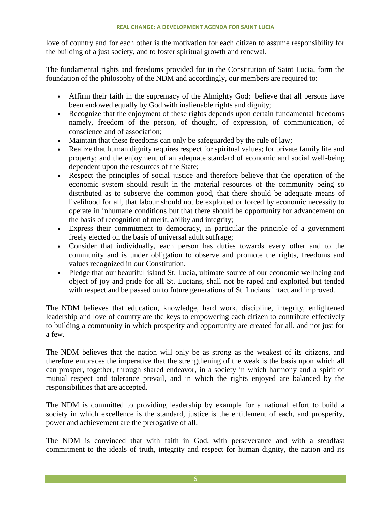love of country and for each other is the motivation for each citizen to assume responsibility for the building of a just society, and to foster spiritual growth and renewal.

The fundamental rights and freedoms provided for in the Constitution of Saint Lucia, form the foundation of the philosophy of the NDM and accordingly, our members are required to:

- Affirm their faith in the supremacy of the Almighty God; believe that all persons have been endowed equally by God with inalienable rights and dignity;
- Recognize that the enjoyment of these rights depends upon certain fundamental freedoms namely, freedom of the person, of thought, of expression, of communication, of conscience and of association;
- Maintain that these freedoms can only be safeguarded by the rule of law;
- Realize that human dignity requires respect for spiritual values; for private family life and property; and the enjoyment of an adequate standard of economic and social well-being dependent upon the resources of the State;
- Respect the principles of social justice and therefore believe that the operation of the economic system should result in the material resources of the community being so distributed as to subserve the common good, that there should be adequate means of livelihood for all, that labour should not be exploited or forced by economic necessity to operate in inhumane conditions but that there should be opportunity for advancement on the basis of recognition of merit, ability and integrity;
- Express their commitment to democracy, in particular the principle of a government freely elected on the basis of universal adult suffrage;
- Consider that individually, each person has duties towards every other and to the community and is under obligation to observe and promote the rights, freedoms and values recognized in our Constitution.
- Pledge that our beautiful island St. Lucia, ultimate source of our economic wellbeing and object of joy and pride for all St. Lucians, shall not be raped and exploited but tended with respect and be passed on to future generations of St. Lucians intact and improved.

The NDM believes that education, knowledge, hard work, discipline, integrity, enlightened leadership and love of country are the keys to empowering each citizen to contribute effectively to building a community in which prosperity and opportunity are created for all, and not just for a few.

The NDM believes that the nation will only be as strong as the weakest of its citizens, and therefore embraces the imperative that the strengthening of the weak is the basis upon which all can prosper, together, through shared endeavor, in a society in which harmony and a spirit of mutual respect and tolerance prevail, and in which the rights enjoyed are balanced by the responsibilities that are accepted.

The NDM is committed to providing leadership by example for a national effort to build a society in which excellence is the standard, justice is the entitlement of each, and prosperity, power and achievement are the prerogative of all.

The NDM is convinced that with faith in God, with perseverance and with a steadfast commitment to the ideals of truth, integrity and respect for human dignity, the nation and its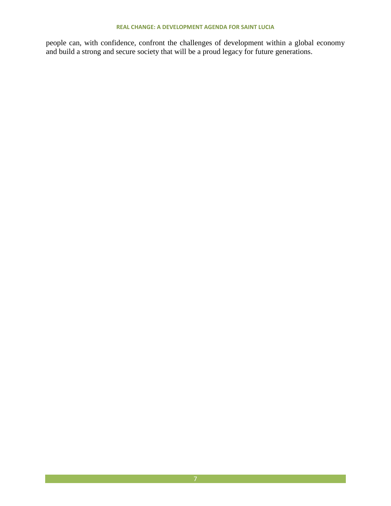people can, with confidence, confront the challenges of development within a global economy and build a strong and secure society that will be a proud legacy for future generations.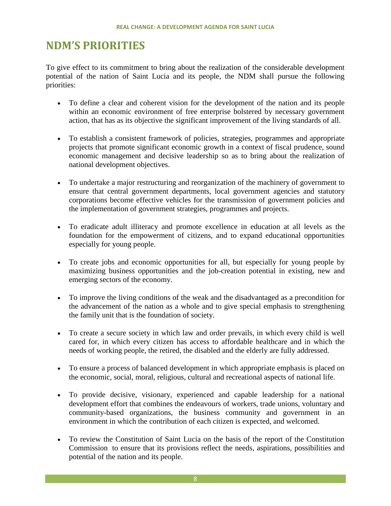# **NDM'S PRIORITIES**

To give effect to its commitment to bring about the realization of the considerable development potential of the nation of Saint Lucia and its people, the NDM shall pursue the following priorities:

- To define a clear and coherent vision for the development of the nation and its people within an economic environment of free enterprise bolstered by necessary government action, that has as its objective the significant improvement of the living standards of all.
- To establish a consistent framework of policies, strategies, programmes and appropriate projects that promote significant economic growth in a context of fiscal prudence, sound economic management and decisive leadership so as to bring about the realization of national development objectives.
- To undertake a major restructuring and reorganization of the machinery of government to ensure that central government departments, local government agencies and statutory corporations become effective vehicles for the transmission of government policies and the implementation of government strategies, programmes and projects.
- To eradicate adult illiteracy and promote excellence in education at all levels as the foundation for the empowerment of citizens, and to expand educational opportunities especially for young people.
- To create jobs and economic opportunities for all, but especially for young people by maximizing business opportunities and the job-creation potential in existing, new and emerging sectors of the economy.
- To improve the living conditions of the weak and the disadvantaged as a precondition for the advancement of the nation as a whole and to give special emphasis to strengthening the family unit that is the foundation of society.
- To create a secure society in which law and order prevails, in which every child is well cared for, in which every citizen has access to affordable healthcare and in which the needs of working people, the retired, the disabled and the elderly are fully addressed.
- To ensure a process of balanced development in which appropriate emphasis is placed on the economic, social, moral, religious, cultural and recreational aspects of national life.
- To provide decisive, visionary, experienced and capable leadership for a national development effort that combines the endeavours of workers, trade unions, voluntary and community-based organizations, the business community and government in an environment in which the contribution of each citizen is expected, and welcomed.
- To review the Constitution of Saint Lucia on the basis of the report of the Constitution Commission to ensure that its provisions reflect the needs, aspirations, possibilities and potential of the nation and its people.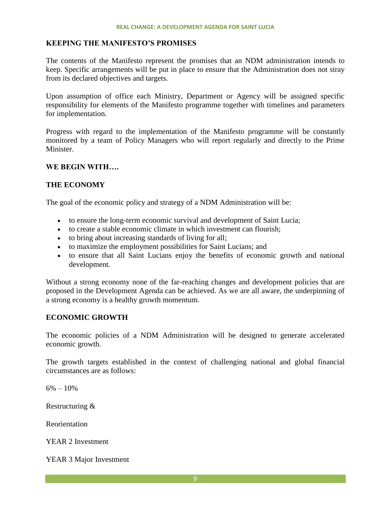#### **KEEPING THE MANIFESTO'S PROMISES**

The contents of the Manifesto represent the promises that an NDM administration intends to keep. Specific arrangements will be put in place to ensure that the Administration does not stray from its declared objectives and targets.

Upon assumption of office each Ministry, Department or Agency will be assigned specific responsibility for elements of the Manifesto programme together with timelines and parameters for implementation.

Progress with regard to the implementation of the Manifesto programme will be constantly monitored by a team of Policy Managers who will report regularly and directly to the Prime Minister.

#### **WE BEGIN WITH….**

#### **THE ECONOMY**

The goal of the economic policy and strategy of a NDM Administration will be:

- to ensure the long-term economic survival and development of Saint Lucia;
- to create a stable economic climate in which investment can flourish;
- to bring about increasing standards of living for all;
- to maximize the employment possibilities for Saint Lucians; and
- to ensure that all Saint Lucians enjoy the benefits of economic growth and national development.

Without a strong economy none of the far-reaching changes and development policies that are proposed in the Development Agenda can be achieved. As we are all aware, the underpinning of a strong economy is a healthy growth momentum.

#### **ECONOMIC GROWTH**

The economic policies of a NDM Administration will be designed to generate accelerated economic growth.

The growth targets established in the context of challenging national and global financial circumstances are as follows:

 $6\% - 10\%$ 

Restructuring &

Reorientation

YEAR 2 Investment

YEAR 3 Major Investment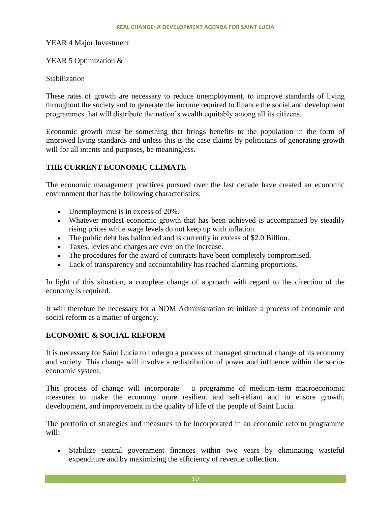YEAR 4 Major Investment

YEAR 5 Optimization &

Stabilization

These rates of growth are necessary to reduce unemployment, to improve standards of living throughout the society and to generate the income required to finance the social and development programmes that will distribute the nation's wealth equitably among all its citizens.

Economic growth must be something that brings benefits to the population in the form of improved living standards and unless this is the case claims by politicians of generating growth will for all intents and purposes, be meaningless.

# **THE CURRENT ECONOMIC CLIMATE**

The economic management practices pursued over the last decade have created an economic environment that has the following characteristics:

- Unemployment is in excess of 20%.
- Whatever modest economic growth that has been achieved is accompanied by steadily rising prices while wage levels do not keep up with inflation.
- The public debt has ballooned and is currently in excess of \$2.0 Billion.
- Taxes, levies and charges are ever on the increase.
- The procedures for the award of contracts have been completely compromised.
- Lack of transparency and accountability has reached alarming proportions.

In light of this situation, a complete change of approach with regard to the direction of the economy is required.

It will therefore be necessary for a NDM Administration to initiate a process of economic and social reform as a matter of urgency.

# **ECONOMIC & SOCIAL REFORM**

It is necessary for Saint Lucia to undergo a process of managed structural change of its economy and society. This change will involve a redistribution of power and influence within the socioeconomic system.

This process of change will incorporate a programme of medium-term macroeconomic measures to make the economy more resilient and self-reliant and to ensure growth, development, and improvement in the quality of life of the people of Saint Lucia.

The portfolio of strategies and measures to be incorporated in an economic reform programme will:

 Stabilize central government finances within two years by eliminating wasteful expenditure and by maximizing the efficiency of revenue collection.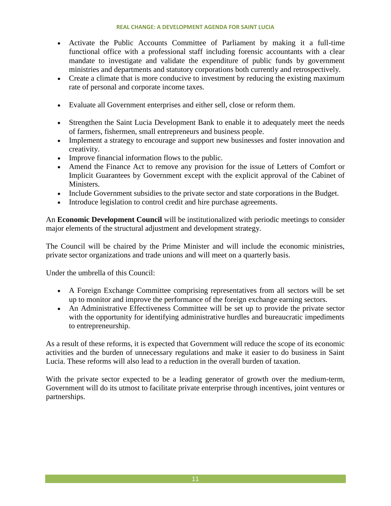#### **REAL CHANGE: A DEVELOPMENT AGENDA FOR SAINT LUCIA**

- Activate the Public Accounts Committee of Parliament by making it a full-time functional office with a professional staff including forensic accountants with a clear mandate to investigate and validate the expenditure of public funds by government ministries and departments and statutory corporations both currently and retrospectively.
- Create a climate that is more conducive to investment by reducing the existing maximum rate of personal and corporate income taxes.
- Evaluate all Government enterprises and either sell, close or reform them.
- Strengthen the Saint Lucia Development Bank to enable it to adequately meet the needs of farmers, fishermen, small entrepreneurs and business people.
- Implement a strategy to encourage and support new businesses and foster innovation and creativity.
- Improve financial information flows to the public.
- Amend the Finance Act to remove any provision for the issue of Letters of Comfort or Implicit Guarantees by Government except with the explicit approval of the Cabinet of Ministers.
- Include Government subsidies to the private sector and state corporations in the Budget.
- Introduce legislation to control credit and hire purchase agreements.

An **Economic Development Council** will be institutionalized with periodic meetings to consider major elements of the structural adjustment and development strategy.

The Council will be chaired by the Prime Minister and will include the economic ministries, private sector organizations and trade unions and will meet on a quarterly basis.

Under the umbrella of this Council:

- A Foreign Exchange Committee comprising representatives from all sectors will be set up to monitor and improve the performance of the foreign exchange earning sectors.
- An Administrative Effectiveness Committee will be set up to provide the private sector with the opportunity for identifying administrative hurdles and bureaucratic impediments to entrepreneurship.

As a result of these reforms, it is expected that Government will reduce the scope of its economic activities and the burden of unnecessary regulations and make it easier to do business in Saint Lucia. These reforms will also lead to a reduction in the overall burden of taxation.

With the private sector expected to be a leading generator of growth over the medium-term, Government will do its utmost to facilitate private enterprise through incentives, joint ventures or partnerships.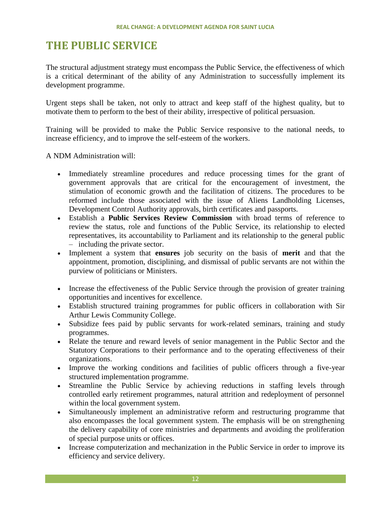# **THE PUBLIC SERVICE**

The structural adjustment strategy must encompass the Public Service, the effectiveness of which is a critical determinant of the ability of any Administration to successfully implement its development programme.

Urgent steps shall be taken, not only to attract and keep staff of the highest quality, but to motivate them to perform to the best of their ability, irrespective of political persuasion.

Training will be provided to make the Public Service responsive to the national needs, to increase efficiency, and to improve the self-esteem of the workers.

A NDM Administration will:

- Immediately streamline procedures and reduce processing times for the grant of government approvals that are critical for the encouragement of investment, the stimulation of economic growth and the facilitation of citizens. The procedures to be reformed include those associated with the issue of Aliens Landholding Licenses, Development Control Authority approvals, birth certificates and passports.
- Establish a **Public Services Review Commission** with broad terms of reference to review the status, role and functions of the Public Service, its relationship to elected representatives, its accountability to Parliament and its relationship to the general public – including the private sector.
- Implement a system that **ensures** job security on the basis of **merit** and that the appointment, promotion, disciplining, and dismissal of public servants are not within the purview of politicians or Ministers.
- Increase the effectiveness of the Public Service through the provision of greater training opportunities and incentives for excellence.
- Establish structured training programmes for public officers in collaboration with Sir Arthur Lewis Community College.
- Subsidize fees paid by public servants for work-related seminars, training and study programmes.
- Relate the tenure and reward levels of senior management in the Public Sector and the Statutory Corporations to their performance and to the operating effectiveness of their organizations.
- Improve the working conditions and facilities of public officers through a five-year structured implementation programme.
- Streamline the Public Service by achieving reductions in staffing levels through controlled early retirement programmes, natural attrition and redeployment of personnel within the local government system.
- Simultaneously implement an administrative reform and restructuring programme that also encompasses the local government system. The emphasis will be on strengthening the delivery capability of core ministries and departments and avoiding the proliferation of special purpose units or offices.
- Increase computerization and mechanization in the Public Service in order to improve its efficiency and service delivery.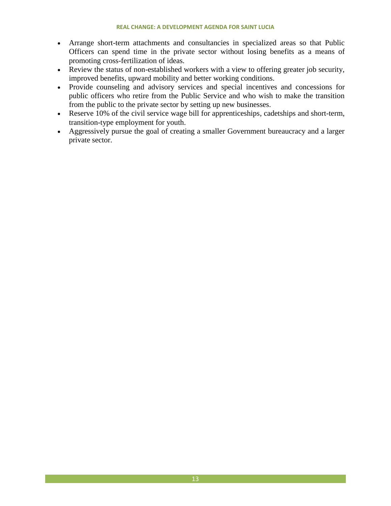- Arrange short-term attachments and consultancies in specialized areas so that Public Officers can spend time in the private sector without losing benefits as a means of promoting cross-fertilization of ideas.
- Review the status of non-established workers with a view to offering greater job security, improved benefits, upward mobility and better working conditions.
- Provide counseling and advisory services and special incentives and concessions for public officers who retire from the Public Service and who wish to make the transition from the public to the private sector by setting up new businesses.
- Reserve 10% of the civil service wage bill for apprenticeships, cadetships and short-term, transition-type employment for youth.
- Aggressively pursue the goal of creating a smaller Government bureaucracy and a larger private sector.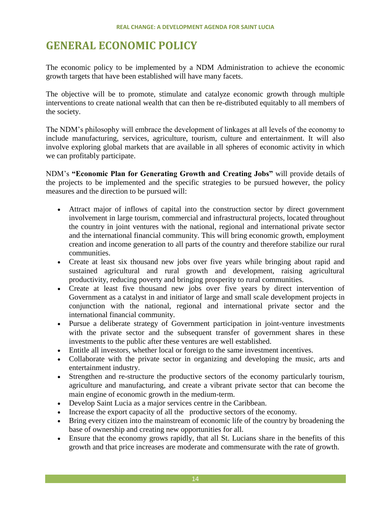# **GENERAL ECONOMIC POLICY**

The economic policy to be implemented by a NDM Administration to achieve the economic growth targets that have been established will have many facets.

The objective will be to promote, stimulate and catalyze economic growth through multiple interventions to create national wealth that can then be re-distributed equitably to all members of the society.

The NDM's philosophy will embrace the development of linkages at all levels of the economy to include manufacturing, services, agriculture, tourism, culture and entertainment. It will also involve exploring global markets that are available in all spheres of economic activity in which we can profitably participate.

NDM's **"Economic Plan for Generating Growth and Creating Jobs"** will provide details of the projects to be implemented and the specific strategies to be pursued however, the policy measures and the direction to be pursued will:

- Attract major of inflows of capital into the construction sector by direct government involvement in large tourism, commercial and infrastructural projects, located throughout the country in joint ventures with the national, regional and international private sector and the international financial community. This will bring economic growth, employment creation and income generation to all parts of the country and therefore stabilize our rural communities.
- Create at least six thousand new jobs over five years while bringing about rapid and sustained agricultural and rural growth and development, raising agricultural productivity, reducing poverty and bringing prosperity to rural communities.
- Create at least five thousand new jobs over five years by direct intervention of Government as a catalyst in and initiator of large and small scale development projects in conjunction with the national, regional and international private sector and the international financial community.
- Pursue a deliberate strategy of Government participation in joint-venture investments with the private sector and the subsequent transfer of government shares in these investments to the public after these ventures are well established.
- Entitle all investors, whether local or foreign to the same investment incentives.
- Collaborate with the private sector in organizing and developing the music, arts and entertainment industry.
- Strengthen and re-structure the productive sectors of the economy particularly tourism, agriculture and manufacturing, and create a vibrant private sector that can become the main engine of economic growth in the medium-term.
- Develop Saint Lucia as a major services centre in the Caribbean.
- Increase the export capacity of all the productive sectors of the economy.
- Bring every citizen into the mainstream of economic life of the country by broadening the base of ownership and creating new opportunities for all.
- Ensure that the economy grows rapidly, that all St. Lucians share in the benefits of this growth and that price increases are moderate and commensurate with the rate of growth.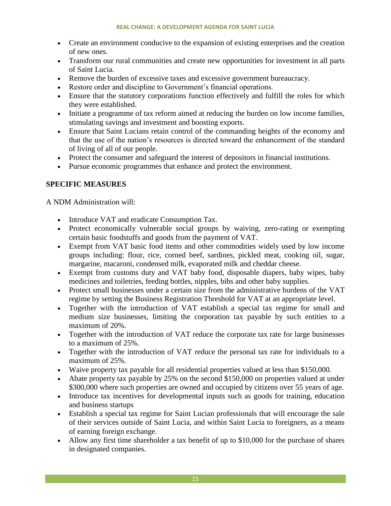- Create an environment conducive to the expansion of existing enterprises and the creation of new ones.
- Transform our rural communities and create new opportunities for investment in all parts of Saint Lucia.
- Remove the burden of excessive taxes and excessive government bureaucracy.
- Restore order and discipline to Government's financial operations.
- Ensure that the statutory corporations function effectively and fulfill the roles for which they were established.
- Initiate a programme of tax reform aimed at reducing the burden on low income families, stimulating savings and investment and boosting exports.
- Ensure that Saint Lucians retain control of the commanding heights of the economy and that the use of the nation's resources is directed toward the enhancement of the standard of living of all of our people.
- Protect the consumer and safeguard the interest of depositors in financial institutions.
- Pursue economic programmes that enhance and protect the environment.

# **SPECIFIC MEASURES**

A NDM Administration will:

- Introduce VAT and eradicate Consumption Tax.
- Protect economically vulnerable social groups by waiving, zero-rating or exempting certain basic foodstuffs and goods from the payment of VAT.
- Exempt from VAT basic food items and other commodities widely used by low income groups including: flour, rice, corned beef, sardines, pickled meat, cooking oil, sugar, margarine, macaroni, condensed milk, evaporated milk and cheddar cheese.
- Exempt from customs duty and VAT baby food, disposable diapers, baby wipes, baby medicines and toiletries, feeding bottles, nipples, bibs and other baby supplies.
- Protect small businesses under a certain size from the administrative burdens of the VAT regime by setting the Business Registration Threshold for VAT at an appropriate level.
- Together with the introduction of VAT establish a special tax regime for small and medium size businesses, limiting the corporation tax payable by such entities to a maximum of 20%.
- Together with the introduction of VAT reduce the corporate tax rate for large businesses to a maximum of 25%.
- Together with the introduction of VAT reduce the personal tax rate for individuals to a maximum of 25%.
- Waive property tax payable for all residential properties valued at less than \$150,000.
- Abate property tax payable by 25% on the second \$150,000 on properties valued at under \$300,000 where such properties are owned and occupied by citizens over 55 years of age.
- Introduce tax incentives for developmental inputs such as goods for training, education and business startups
- Establish a special tax regime for Saint Lucian professionals that will encourage the sale of their services outside of Saint Lucia, and within Saint Lucia to foreigners, as a means of earning foreign exchange.
- Allow any first time shareholder a tax benefit of up to \$10,000 for the purchase of shares in designated companies.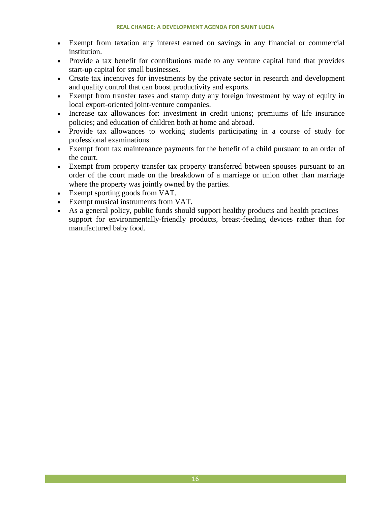- Exempt from taxation any interest earned on savings in any financial or commercial institution.
- Provide a tax benefit for contributions made to any venture capital fund that provides start-up capital for small businesses.
- Create tax incentives for investments by the private sector in research and development and quality control that can boost productivity and exports.
- Exempt from transfer taxes and stamp duty any foreign investment by way of equity in local export-oriented joint-venture companies.
- Increase tax allowances for: investment in credit unions; premiums of life insurance policies; and education of children both at home and abroad.
- Provide tax allowances to working students participating in a course of study for professional examinations.
- Exempt from tax maintenance payments for the benefit of a child pursuant to an order of the court.
- Exempt from property transfer tax property transferred between spouses pursuant to an order of the court made on the breakdown of a marriage or union other than marriage where the property was jointly owned by the parties.
- Exempt sporting goods from VAT.
- Exempt musical instruments from VAT.
- As a general policy, public funds should support healthy products and health practices support for environmentally-friendly products, breast-feeding devices rather than for manufactured baby food.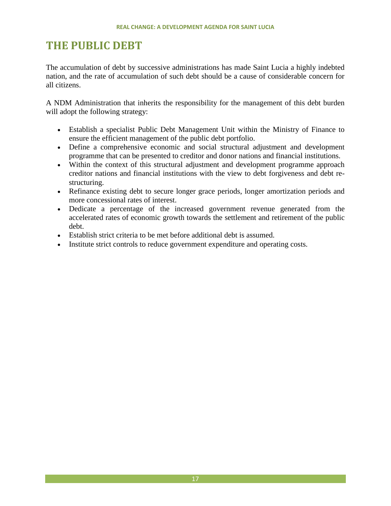# **THE PUBLIC DEBT**

The accumulation of debt by successive administrations has made Saint Lucia a highly indebted nation, and the rate of accumulation of such debt should be a cause of considerable concern for all citizens.

A NDM Administration that inherits the responsibility for the management of this debt burden will adopt the following strategy:

- Establish a specialist Public Debt Management Unit within the Ministry of Finance to ensure the efficient management of the public debt portfolio.
- Define a comprehensive economic and social structural adjustment and development programme that can be presented to creditor and donor nations and financial institutions.
- Within the context of this structural adjustment and development programme approach creditor nations and financial institutions with the view to debt forgiveness and debt restructuring.
- Refinance existing debt to secure longer grace periods, longer amortization periods and more concessional rates of interest.
- Dedicate a percentage of the increased government revenue generated from the accelerated rates of economic growth towards the settlement and retirement of the public debt.
- Establish strict criteria to be met before additional debt is assumed.
- Institute strict controls to reduce government expenditure and operating costs.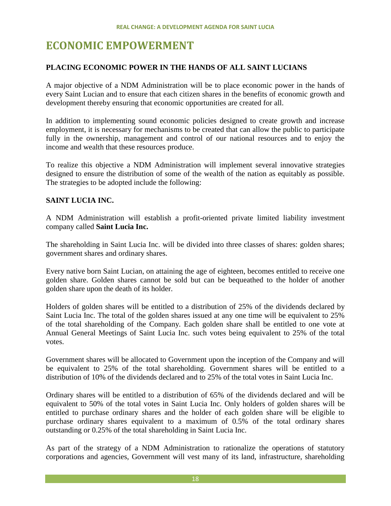# **ECONOMIC EMPOWERMENT**

# **PLACING ECONOMIC POWER IN THE HANDS OF ALL SAINT LUCIANS**

A major objective of a NDM Administration will be to place economic power in the hands of every Saint Lucian and to ensure that each citizen shares in the benefits of economic growth and development thereby ensuring that economic opportunities are created for all.

In addition to implementing sound economic policies designed to create growth and increase employment, it is necessary for mechanisms to be created that can allow the public to participate fully in the ownership, management and control of our national resources and to enjoy the income and wealth that these resources produce.

To realize this objective a NDM Administration will implement several innovative strategies designed to ensure the distribution of some of the wealth of the nation as equitably as possible. The strategies to be adopted include the following:

# **SAINT LUCIA INC.**

A NDM Administration will establish a profit-oriented private limited liability investment company called **Saint Lucia Inc.**

The shareholding in Saint Lucia Inc. will be divided into three classes of shares: golden shares; government shares and ordinary shares.

Every native born Saint Lucian, on attaining the age of eighteen, becomes entitled to receive one golden share. Golden shares cannot be sold but can be bequeathed to the holder of another golden share upon the death of its holder.

Holders of golden shares will be entitled to a distribution of 25% of the dividends declared by Saint Lucia Inc. The total of the golden shares issued at any one time will be equivalent to 25% of the total shareholding of the Company. Each golden share shall be entitled to one vote at Annual General Meetings of Saint Lucia Inc. such votes being equivalent to 25% of the total votes.

Government shares will be allocated to Government upon the inception of the Company and will be equivalent to 25% of the total shareholding. Government shares will be entitled to a distribution of 10% of the dividends declared and to 25% of the total votes in Saint Lucia Inc.

Ordinary shares will be entitled to a distribution of 65% of the dividends declared and will be equivalent to 50% of the total votes in Saint Lucia Inc. Only holders of golden shares will be entitled to purchase ordinary shares and the holder of each golden share will be eligible to purchase ordinary shares equivalent to a maximum of 0.5% of the total ordinary shares outstanding or 0.25% of the total shareholding in Saint Lucia Inc.

As part of the strategy of a NDM Administration to rationalize the operations of statutory corporations and agencies, Government will vest many of its land, infrastructure, shareholding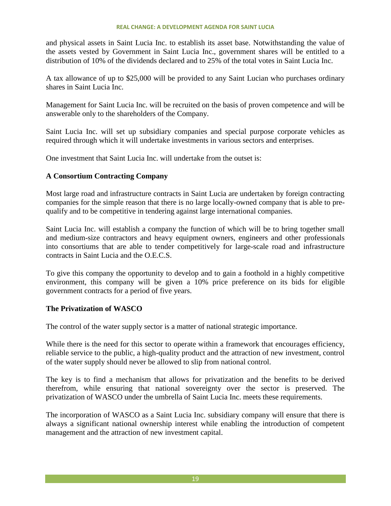#### **REAL CHANGE: A DEVELOPMENT AGENDA FOR SAINT LUCIA**

and physical assets in Saint Lucia Inc. to establish its asset base. Notwithstanding the value of the assets vested by Government in Saint Lucia Inc., government shares will be entitled to a distribution of 10% of the dividends declared and to 25% of the total votes in Saint Lucia Inc.

A tax allowance of up to \$25,000 will be provided to any Saint Lucian who purchases ordinary shares in Saint Lucia Inc.

Management for Saint Lucia Inc. will be recruited on the basis of proven competence and will be answerable only to the shareholders of the Company.

Saint Lucia Inc. will set up subsidiary companies and special purpose corporate vehicles as required through which it will undertake investments in various sectors and enterprises.

One investment that Saint Lucia Inc. will undertake from the outset is:

#### **A Consortium Contracting Company**

Most large road and infrastructure contracts in Saint Lucia are undertaken by foreign contracting companies for the simple reason that there is no large locally-owned company that is able to prequalify and to be competitive in tendering against large international companies.

Saint Lucia Inc. will establish a company the function of which will be to bring together small and medium-size contractors and heavy equipment owners, engineers and other professionals into consortiums that are able to tender competitively for large-scale road and infrastructure contracts in Saint Lucia and the O.E.C.S.

To give this company the opportunity to develop and to gain a foothold in a highly competitive environment, this company will be given a 10% price preference on its bids for eligible government contracts for a period of five years.

#### **The Privatization of WASCO**

The control of the water supply sector is a matter of national strategic importance.

While there is the need for this sector to operate within a framework that encourages efficiency, reliable service to the public, a high-quality product and the attraction of new investment, control of the water supply should never be allowed to slip from national control.

The key is to find a mechanism that allows for privatization and the benefits to be derived therefrom, while ensuring that national sovereignty over the sector is preserved. The privatization of WASCO under the umbrella of Saint Lucia Inc. meets these requirements.

The incorporation of WASCO as a Saint Lucia Inc. subsidiary company will ensure that there is always a significant national ownership interest while enabling the introduction of competent management and the attraction of new investment capital.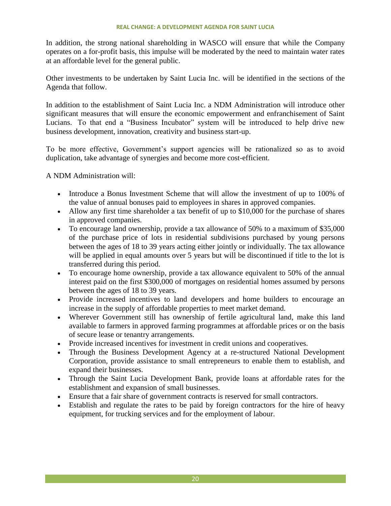In addition, the strong national shareholding in WASCO will ensure that while the Company operates on a for-profit basis, this impulse will be moderated by the need to maintain water rates at an affordable level for the general public.

Other investments to be undertaken by Saint Lucia Inc. will be identified in the sections of the Agenda that follow.

In addition to the establishment of Saint Lucia Inc. a NDM Administration will introduce other significant measures that will ensure the economic empowerment and enfranchisement of Saint Lucians. To that end a "Business Incubator" system will be introduced to help drive new business development, innovation, creativity and business start-up.

To be more effective, Government's support agencies will be rationalized so as to avoid duplication, take advantage of synergies and become more cost-efficient.

A NDM Administration will:

- Introduce a Bonus Investment Scheme that will allow the investment of up to 100% of the value of annual bonuses paid to employees in shares in approved companies.
- Allow any first time shareholder a tax benefit of up to  $$10,000$  for the purchase of shares in approved companies.
- To encourage land ownership, provide a tax allowance of 50% to a maximum of \$35,000 of the purchase price of lots in residential subdivisions purchased by young persons between the ages of 18 to 39 years acting either jointly or individually. The tax allowance will be applied in equal amounts over 5 years but will be discontinued if title to the lot is transferred during this period.
- To encourage home ownership, provide a tax allowance equivalent to 50% of the annual interest paid on the first \$300,000 of mortgages on residential homes assumed by persons between the ages of 18 to 39 years.
- Provide increased incentives to land developers and home builders to encourage an increase in the supply of affordable properties to meet market demand.
- Wherever Government still has ownership of fertile agricultural land, make this land available to farmers in approved farming programmes at affordable prices or on the basis of secure lease or tenantry arrangements.
- Provide increased incentives for investment in credit unions and cooperatives.
- Through the Business Development Agency at a re-structured National Development Corporation, provide assistance to small entrepreneurs to enable them to establish, and expand their businesses.
- Through the Saint Lucia Development Bank, provide loans at affordable rates for the establishment and expansion of small businesses.
- Ensure that a fair share of government contracts is reserved for small contractors.
- Establish and regulate the rates to be paid by foreign contractors for the hire of heavy equipment, for trucking services and for the employment of labour.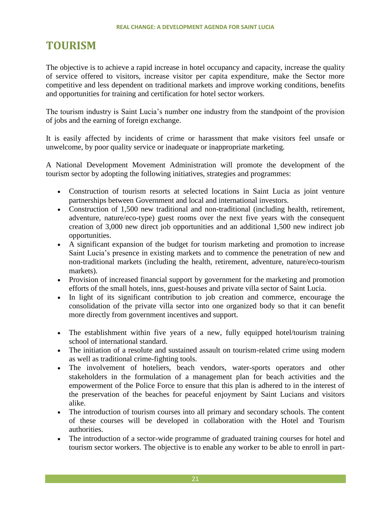# **TOURISM**

The objective is to achieve a rapid increase in hotel occupancy and capacity, increase the quality of service offered to visitors, increase visitor per capita expenditure, make the Sector more competitive and less dependent on traditional markets and improve working conditions, benefits and opportunities for training and certification for hotel sector workers.

The tourism industry is Saint Lucia's number one industry from the standpoint of the provision of jobs and the earning of foreign exchange.

It is easily affected by incidents of crime or harassment that make visitors feel unsafe or unwelcome, by poor quality service or inadequate or inappropriate marketing.

A National Development Movement Administration will promote the development of the tourism sector by adopting the following initiatives, strategies and programmes:

- Construction of tourism resorts at selected locations in Saint Lucia as joint venture partnerships between Government and local and international investors.
- Construction of 1,500 new traditional and non-traditional (including health, retirement, adventure, nature/eco-type) guest rooms over the next five years with the consequent creation of 3,000 new direct job opportunities and an additional 1,500 new indirect job opportunities.
- A significant expansion of the budget for tourism marketing and promotion to increase Saint Lucia's presence in existing markets and to commence the penetration of new and non-traditional markets (including the health, retirement, adventure, nature/eco-tourism markets).
- Provision of increased financial support by government for the marketing and promotion efforts of the small hotels, inns, guest-houses and private villa sector of Saint Lucia.
- In light of its significant contribution to job creation and commerce, encourage the consolidation of the private villa sector into one organized body so that it can benefit more directly from government incentives and support.
- The establishment within five years of a new, fully equipped hotel/tourism training school of international standard.
- The initiation of a resolute and sustained assault on tourism-related crime using modern as well as traditional crime-fighting tools.
- The involvement of hoteliers, beach vendors, water-sports operators and other stakeholders in the formulation of a management plan for beach activities and the empowerment of the Police Force to ensure that this plan is adhered to in the interest of the preservation of the beaches for peaceful enjoyment by Saint Lucians and visitors alike.
- The introduction of tourism courses into all primary and secondary schools. The content of these courses will be developed in collaboration with the Hotel and Tourism authorities.
- The introduction of a sector-wide programme of graduated training courses for hotel and tourism sector workers. The objective is to enable any worker to be able to enroll in part-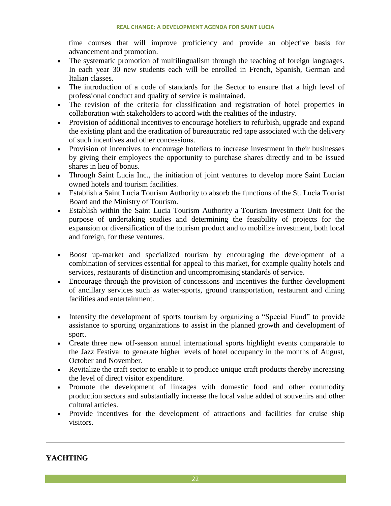time courses that will improve proficiency and provide an objective basis for advancement and promotion.

- The systematic promotion of multilingualism through the teaching of foreign languages. In each year 30 new students each will be enrolled in French, Spanish, German and Italian classes.
- The introduction of a code of standards for the Sector to ensure that a high level of professional conduct and quality of service is maintained.
- The revision of the criteria for classification and registration of hotel properties in collaboration with stakeholders to accord with the realities of the industry.
- Provision of additional incentives to encourage hoteliers to refurbish, upgrade and expand the existing plant and the eradication of bureaucratic red tape associated with the delivery of such incentives and other concessions.
- Provision of incentives to encourage hoteliers to increase investment in their businesses by giving their employees the opportunity to purchase shares directly and to be issued shares in lieu of bonus.
- Through Saint Lucia Inc., the initiation of joint ventures to develop more Saint Lucian owned hotels and tourism facilities.
- Establish a Saint Lucia Tourism Authority to absorb the functions of the St. Lucia Tourist Board and the Ministry of Tourism.
- Establish within the Saint Lucia Tourism Authority a Tourism Investment Unit for the purpose of undertaking studies and determining the feasibility of projects for the expansion or diversification of the tourism product and to mobilize investment, both local and foreign, for these ventures.
- Boost up-market and specialized tourism by encouraging the development of a combination of services essential for appeal to this market, for example quality hotels and services, restaurants of distinction and uncompromising standards of service.
- Encourage through the provision of concessions and incentives the further development of ancillary services such as water-sports, ground transportation, restaurant and dining facilities and entertainment.
- Intensify the development of sports tourism by organizing a "Special Fund" to provide assistance to sporting organizations to assist in the planned growth and development of sport.
- Create three new off-season annual international sports highlight events comparable to the Jazz Festival to generate higher levels of hotel occupancy in the months of August, October and November.
- Revitalize the craft sector to enable it to produce unique craft products thereby increasing the level of direct visitor expenditure.
- Promote the development of linkages with domestic food and other commodity production sectors and substantially increase the local value added of souvenirs and other cultural articles.
- Provide incentives for the development of attractions and facilities for cruise ship visitors.

# **YACHTING**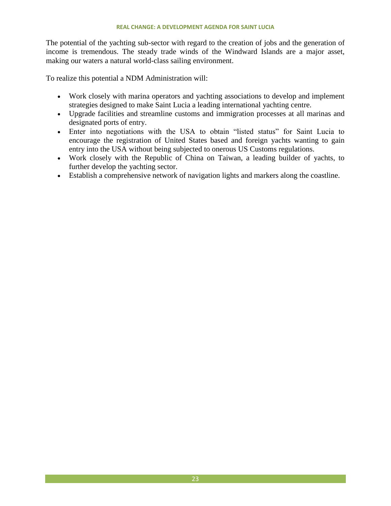The potential of the yachting sub-sector with regard to the creation of jobs and the generation of income is tremendous. The steady trade winds of the Windward Islands are a major asset, making our waters a natural world-class sailing environment.

To realize this potential a NDM Administration will:

- Work closely with marina operators and yachting associations to develop and implement strategies designed to make Saint Lucia a leading international yachting centre.
- Upgrade facilities and streamline customs and immigration processes at all marinas and designated ports of entry.
- Enter into negotiations with the USA to obtain "listed status" for Saint Lucia to encourage the registration of United States based and foreign yachts wanting to gain entry into the USA without being subjected to onerous US Customs regulations.
- Work closely with the Republic of China on Taiwan, a leading builder of yachts, to further develop the yachting sector.
- Establish a comprehensive network of navigation lights and markers along the coastline.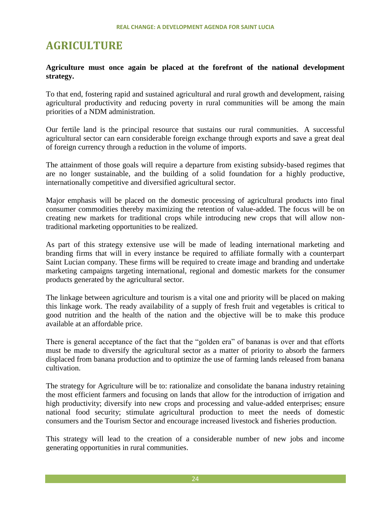# **AGRICULTURE**

# **Agriculture must once again be placed at the forefront of the national development strategy.**

To that end, fostering rapid and sustained agricultural and rural growth and development, raising agricultural productivity and reducing poverty in rural communities will be among the main priorities of a NDM administration.

Our fertile land is the principal resource that sustains our rural communities. A successful agricultural sector can earn considerable foreign exchange through exports and save a great deal of foreign currency through a reduction in the volume of imports.

The attainment of those goals will require a departure from existing subsidy-based regimes that are no longer sustainable, and the building of a solid foundation for a highly productive, internationally competitive and diversified agricultural sector.

Major emphasis will be placed on the domestic processing of agricultural products into final consumer commodities thereby maximizing the retention of value-added. The focus will be on creating new markets for traditional crops while introducing new crops that will allow nontraditional marketing opportunities to be realized.

As part of this strategy extensive use will be made of leading international marketing and branding firms that will in every instance be required to affiliate formally with a counterpart Saint Lucian company. These firms will be required to create image and branding and undertake marketing campaigns targeting international, regional and domestic markets for the consumer products generated by the agricultural sector.

The linkage between agriculture and tourism is a vital one and priority will be placed on making this linkage work. The ready availability of a supply of fresh fruit and vegetables is critical to good nutrition and the health of the nation and the objective will be to make this produce available at an affordable price.

There is general acceptance of the fact that the "golden era" of bananas is over and that efforts must be made to diversify the agricultural sector as a matter of priority to absorb the farmers displaced from banana production and to optimize the use of farming lands released from banana cultivation.

The strategy for Agriculture will be to: rationalize and consolidate the banana industry retaining the most efficient farmers and focusing on lands that allow for the introduction of irrigation and high productivity; diversify into new crops and processing and value-added enterprises; ensure national food security; stimulate agricultural production to meet the needs of domestic consumers and the Tourism Sector and encourage increased livestock and fisheries production.

This strategy will lead to the creation of a considerable number of new jobs and income generating opportunities in rural communities.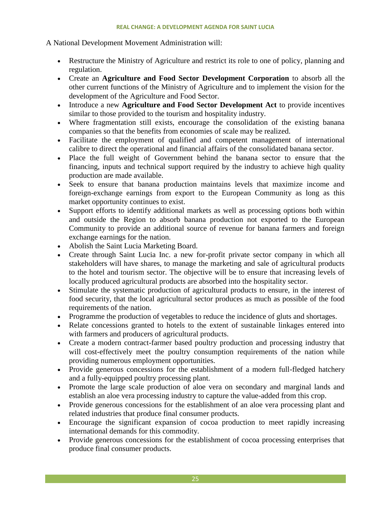#### **REAL CHANGE: A DEVELOPMENT AGENDA FOR SAINT LUCIA**

A National Development Movement Administration will:

- Restructure the Ministry of Agriculture and restrict its role to one of policy, planning and regulation.
- Create an **Agriculture and Food Sector Development Corporation** to absorb all the other current functions of the Ministry of Agriculture and to implement the vision for the development of the Agriculture and Food Sector.
- Introduce a new **Agriculture and Food Sector Development Act** to provide incentives similar to those provided to the tourism and hospitality industry.
- Where fragmentation still exists, encourage the consolidation of the existing banana companies so that the benefits from economies of scale may be realized.
- Facilitate the employment of qualified and competent management of international calibre to direct the operational and financial affairs of the consolidated banana sector.
- Place the full weight of Government behind the banana sector to ensure that the financing, inputs and technical support required by the industry to achieve high quality production are made available.
- Seek to ensure that banana production maintains levels that maximize income and foreign-exchange earnings from export to the European Community as long as this market opportunity continues to exist.
- Support efforts to identify additional markets as well as processing options both within and outside the Region to absorb banana production not exported to the European Community to provide an additional source of revenue for banana farmers and foreign exchange earnings for the nation.
- Abolish the Saint Lucia Marketing Board.
- Create through Saint Lucia Inc. a new for-profit private sector company in which all stakeholders will have shares, to manage the marketing and sale of agricultural products to the hotel and tourism sector. The objective will be to ensure that increasing levels of locally produced agricultural products are absorbed into the hospitality sector.
- Stimulate the systematic production of agricultural products to ensure, in the interest of food security, that the local agricultural sector produces as much as possible of the food requirements of the nation.
- Programme the production of vegetables to reduce the incidence of gluts and shortages.
- Relate concessions granted to hotels to the extent of sustainable linkages entered into with farmers and producers of agricultural products.
- Create a modern contract-farmer based poultry production and processing industry that will cost-effectively meet the poultry consumption requirements of the nation while providing numerous employment opportunities.
- Provide generous concessions for the establishment of a modern full-fledged hatchery and a fully-equipped poultry processing plant.
- Promote the large scale production of aloe vera on secondary and marginal lands and establish an aloe vera processing industry to capture the value-added from this crop.
- Provide generous concessions for the establishment of an aloe vera processing plant and related industries that produce final consumer products.
- Encourage the significant expansion of cocoa production to meet rapidly increasing international demands for this commodity.
- Provide generous concessions for the establishment of cocoa processing enterprises that produce final consumer products.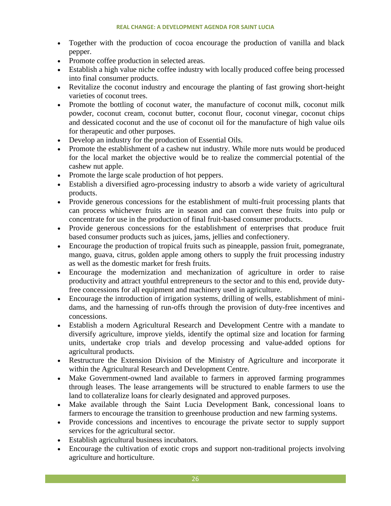- Together with the production of cocoa encourage the production of vanilla and black pepper.
- Promote coffee production in selected areas.
- Establish a high value niche coffee industry with locally produced coffee being processed into final consumer products.
- Revitalize the coconut industry and encourage the planting of fast growing short-height varieties of coconut trees.
- Promote the bottling of coconut water, the manufacture of coconut milk, coconut milk powder, coconut cream, coconut butter, coconut flour, coconut vinegar, coconut chips and dessicated coconut and the use of coconut oil for the manufacture of high value oils for therapeutic and other purposes.
- Develop an industry for the production of Essential Oils.
- Promote the establishment of a cashew nut industry. While more nuts would be produced for the local market the objective would be to realize the commercial potential of the cashew nut apple.
- Promote the large scale production of hot peppers.
- Establish a diversified agro-processing industry to absorb a wide variety of agricultural products.
- Provide generous concessions for the establishment of multi-fruit processing plants that can process whichever fruits are in season and can convert these fruits into pulp or concentrate for use in the production of final fruit-based consumer products.
- Provide generous concessions for the establishment of enterprises that produce fruit based consumer products such as juices, jams, jellies and confectionery.
- Encourage the production of tropical fruits such as pineapple, passion fruit, pomegranate, mango, guava, citrus, golden apple among others to supply the fruit processing industry as well as the domestic market for fresh fruits.
- Encourage the modernization and mechanization of agriculture in order to raise productivity and attract youthful entrepreneurs to the sector and to this end, provide dutyfree concessions for all equipment and machinery used in agriculture.
- Encourage the introduction of irrigation systems, drilling of wells, establishment of minidams, and the harnessing of run-offs through the provision of duty-free incentives and concessions.
- Establish a modern Agricultural Research and Development Centre with a mandate to diversify agriculture, improve yields, identify the optimal size and location for farming units, undertake crop trials and develop processing and value-added options for agricultural products.
- Restructure the Extension Division of the Ministry of Agriculture and incorporate it within the Agricultural Research and Development Centre.
- Make Government-owned land available to farmers in approved farming programmes through leases. The lease arrangements will be structured to enable farmers to use the land to collateralize loans for clearly designated and approved purposes.
- Make available through the Saint Lucia Development Bank, concessional loans to farmers to encourage the transition to greenhouse production and new farming systems.
- Provide concessions and incentives to encourage the private sector to supply support services for the agricultural sector.
- Establish agricultural business incubators.
- Encourage the cultivation of exotic crops and support non-traditional projects involving agriculture and horticulture.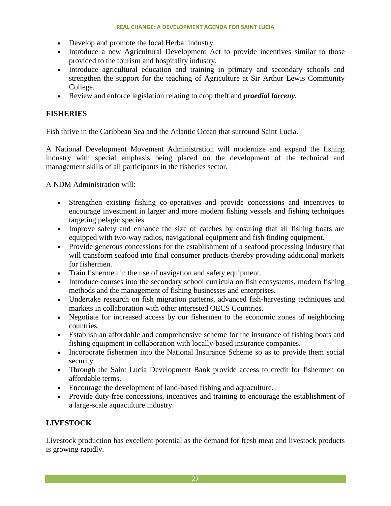- Develop and promote the local Herbal industry.
- Introduce a new Agricultural Development Act to provide incentives similar to those provided to the tourism and hospitality industry.
- Introduce agricultural education and training in primary and secondary schools and strengthen the support for the teaching of Agriculture at Sir Arthur Lewis Community College.
- Review and enforce legislation relating to crop theft and *praedial larceny.*

# **FISHERIES**

Fish thrive in the Caribbean Sea and the Atlantic Ocean that surround Saint Lucia.

A National Development Movement Administration will modernize and expand the fishing industry with special emphasis being placed on the development of the technical and management skills of all participants in the fisheries sector.

A NDM Administration will:

- Strengthen existing fishing co-operatives and provide concessions and incentives to encourage investment in larger and more modern fishing vessels and fishing techniques targeting pelagic species.
- Improve safety and enhance the size of catches by ensuring that all fishing boats are equipped with two-way radios, navigational equipment and fish finding equipment.
- Provide generous concessions for the establishment of a seafood processing industry that will transform seafood into final consumer products thereby providing additional markets for fishermen.
- Train fishermen in the use of navigation and safety equipment.
- Introduce courses into the secondary school curricula on fish ecosystems, modern fishing methods and the management of fishing businesses and enterprises.
- Undertake research on fish migration patterns, advanced fish-harvesting techniques and markets in collaboration with other interested OECS Countries.
- Negotiate for increased access by our fishermen to the economic zones of neighboring countries.
- Establish an affordable and comprehensive scheme for the insurance of fishing boats and fishing equipment in collaboration with locally-based insurance companies.
- Incorporate fishermen into the National Insurance Scheme so as to provide them social security.
- Through the Saint Lucia Development Bank provide access to credit for fishermen on affordable terms.
- Encourage the development of land-based fishing and aquaculture.
- Provide duty-free concessions, incentives and training to encourage the establishment of a large-scale aquaculture industry.

# **LIVESTOCK**

Livestock production has excellent potential as the demand for fresh meat and livestock products is growing rapidly.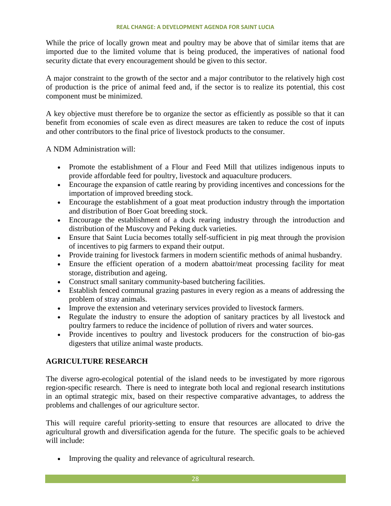While the price of locally grown meat and poultry may be above that of similar items that are imported due to the limited volume that is being produced, the imperatives of national food security dictate that every encouragement should be given to this sector.

A major constraint to the growth of the sector and a major contributor to the relatively high cost of production is the price of animal feed and, if the sector is to realize its potential, this cost component must be minimized.

A key objective must therefore be to organize the sector as efficiently as possible so that it can benefit from economies of scale even as direct measures are taken to reduce the cost of inputs and other contributors to the final price of livestock products to the consumer.

A NDM Administration will:

- Promote the establishment of a Flour and Feed Mill that utilizes indigenous inputs to provide affordable feed for poultry, livestock and aquaculture producers.
- Encourage the expansion of cattle rearing by providing incentives and concessions for the importation of improved breeding stock.
- Encourage the establishment of a goat meat production industry through the importation and distribution of Boer Goat breeding stock.
- Encourage the establishment of a duck rearing industry through the introduction and distribution of the Muscovy and Peking duck varieties.
- Ensure that Saint Lucia becomes totally self-sufficient in pig meat through the provision of incentives to pig farmers to expand their output.
- Provide training for livestock farmers in modern scientific methods of animal husbandry.
- Ensure the efficient operation of a modern abattoir/meat processing facility for meat storage, distribution and ageing.
- Construct small sanitary community-based butchering facilities.
- Establish fenced communal grazing pastures in every region as a means of addressing the problem of stray animals.
- Improve the extension and veterinary services provided to livestock farmers.
- Regulate the industry to ensure the adoption of sanitary practices by all livestock and poultry farmers to reduce the incidence of pollution of rivers and water sources.
- Provide incentives to poultry and livestock producers for the construction of bio-gas digesters that utilize animal waste products.

# **AGRICULTURE RESEARCH**

The diverse agro-ecological potential of the island needs to be investigated by more rigorous region-specific research. There is need to integrate both local and regional research institutions in an optimal strategic mix, based on their respective comparative advantages, to address the problems and challenges of our agriculture sector.

This will require careful priority-setting to ensure that resources are allocated to drive the agricultural growth and diversification agenda for the future. The specific goals to be achieved will include:

• Improving the quality and relevance of agricultural research.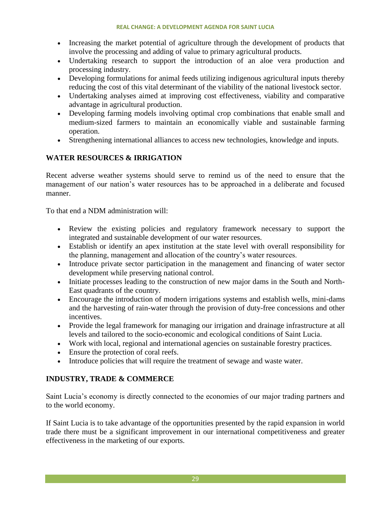- Increasing the market potential of agriculture through the development of products that involve the processing and adding of value to primary agricultural products.
- Undertaking research to support the introduction of an aloe vera production and processing industry.
- Developing formulations for animal feeds utilizing indigenous agricultural inputs thereby reducing the cost of this vital determinant of the viability of the national livestock sector.
- Undertaking analyses aimed at improving cost effectiveness, viability and comparative advantage in agricultural production.
- Developing farming models involving optimal crop combinations that enable small and medium-sized farmers to maintain an economically viable and sustainable farming operation.
- Strengthening international alliances to access new technologies, knowledge and inputs.

# **WATER RESOURCES & IRRIGATION**

Recent adverse weather systems should serve to remind us of the need to ensure that the management of our nation's water resources has to be approached in a deliberate and focused manner.

To that end a NDM administration will:

- Review the existing policies and regulatory framework necessary to support the integrated and sustainable development of our water resources.
- Establish or identify an apex institution at the state level with overall responsibility for the planning, management and allocation of the country's water resources.
- Introduce private sector participation in the management and financing of water sector development while preserving national control.
- Initiate processes leading to the construction of new major dams in the South and North-East quadrants of the country.
- Encourage the introduction of modern irrigations systems and establish wells, mini-dams and the harvesting of rain-water through the provision of duty-free concessions and other incentives.
- Provide the legal framework for managing our irrigation and drainage infrastructure at all levels and tailored to the socio-economic and ecological conditions of Saint Lucia.
- Work with local, regional and international agencies on sustainable forestry practices.
- Ensure the protection of coral reefs.
- Introduce policies that will require the treatment of sewage and waste water.

# **INDUSTRY, TRADE & COMMERCE**

Saint Lucia's economy is directly connected to the economies of our major trading partners and to the world economy.

If Saint Lucia is to take advantage of the opportunities presented by the rapid expansion in world trade there must be a significant improvement in our international competitiveness and greater effectiveness in the marketing of our exports.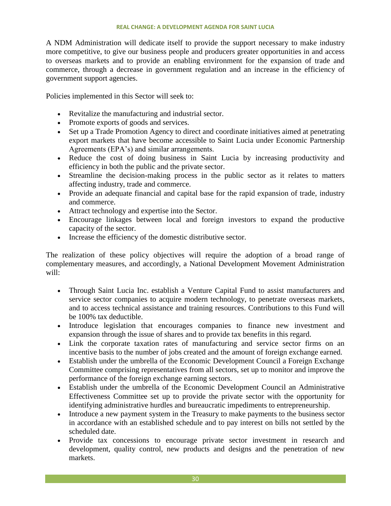A NDM Administration will dedicate itself to provide the support necessary to make industry more competitive, to give our business people and producers greater opportunities in and access to overseas markets and to provide an enabling environment for the expansion of trade and commerce, through a decrease in government regulation and an increase in the efficiency of government support agencies.

Policies implemented in this Sector will seek to:

- Revitalize the manufacturing and industrial sector.
- Promote exports of goods and services.
- Set up a Trade Promotion Agency to direct and coordinate initiatives aimed at penetrating export markets that have become accessible to Saint Lucia under Economic Partnership Agreements (EPA's) and similar arrangements.
- Reduce the cost of doing business in Saint Lucia by increasing productivity and efficiency in both the public and the private sector.
- Streamline the decision-making process in the public sector as it relates to matters affecting industry, trade and commerce.
- Provide an adequate financial and capital base for the rapid expansion of trade, industry and commerce.
- Attract technology and expertise into the Sector.
- Encourage linkages between local and foreign investors to expand the productive capacity of the sector.
- Increase the efficiency of the domestic distributive sector.

The realization of these policy objectives will require the adoption of a broad range of complementary measures, and accordingly, a National Development Movement Administration will:

- Through Saint Lucia Inc. establish a Venture Capital Fund to assist manufacturers and service sector companies to acquire modern technology, to penetrate overseas markets, and to access technical assistance and training resources. Contributions to this Fund will be 100% tax deductible.
- Introduce legislation that encourages companies to finance new investment and expansion through the issue of shares and to provide tax benefits in this regard.
- Link the corporate taxation rates of manufacturing and service sector firms on an incentive basis to the number of jobs created and the amount of foreign exchange earned.
- Establish under the umbrella of the Economic Development Council a Foreign Exchange Committee comprising representatives from all sectors, set up to monitor and improve the performance of the foreign exchange earning sectors.
- Establish under the umbrella of the Economic Development Council an Administrative Effectiveness Committee set up to provide the private sector with the opportunity for identifying administrative hurdles and bureaucratic impediments to entrepreneurship.
- Introduce a new payment system in the Treasury to make payments to the business sector in accordance with an established schedule and to pay interest on bills not settled by the scheduled date.
- Provide tax concessions to encourage private sector investment in research and development, quality control, new products and designs and the penetration of new markets.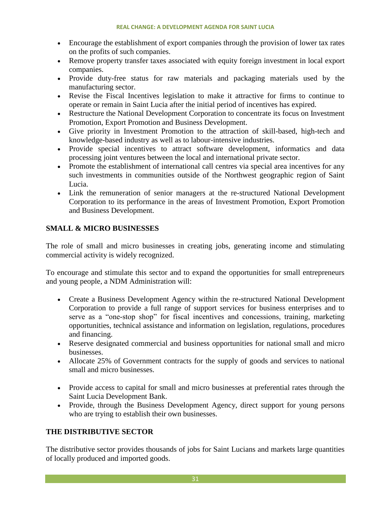- Encourage the establishment of export companies through the provision of lower tax rates on the profits of such companies.
- Remove property transfer taxes associated with equity foreign investment in local export companies.
- Provide duty-free status for raw materials and packaging materials used by the manufacturing sector.
- Revise the Fiscal Incentives legislation to make it attractive for firms to continue to operate or remain in Saint Lucia after the initial period of incentives has expired.
- Restructure the National Development Corporation to concentrate its focus on Investment Promotion, Export Promotion and Business Development.
- Give priority in Investment Promotion to the attraction of skill-based, high-tech and knowledge-based industry as well as to labour-intensive industries.
- Provide special incentives to attract software development, informatics and data processing joint ventures between the local and international private sector.
- Promote the establishment of international call centres via special area incentives for any such investments in communities outside of the Northwest geographic region of Saint Lucia.
- Link the remuneration of senior managers at the re-structured National Development Corporation to its performance in the areas of Investment Promotion, Export Promotion and Business Development.

# **SMALL & MICRO BUSINESSES**

The role of small and micro businesses in creating jobs, generating income and stimulating commercial activity is widely recognized.

To encourage and stimulate this sector and to expand the opportunities for small entrepreneurs and young people, a NDM Administration will:

- Create a Business Development Agency within the re-structured National Development Corporation to provide a full range of support services for business enterprises and to serve as a "one-stop shop" for fiscal incentives and concessions, training, marketing opportunities, technical assistance and information on legislation, regulations, procedures and financing.
- Reserve designated commercial and business opportunities for national small and micro businesses.
- Allocate 25% of Government contracts for the supply of goods and services to national small and micro businesses.
- Provide access to capital for small and micro businesses at preferential rates through the Saint Lucia Development Bank.
- Provide, through the Business Development Agency, direct support for young persons who are trying to establish their own businesses.

# **THE DISTRIBUTIVE SECTOR**

The distributive sector provides thousands of jobs for Saint Lucians and markets large quantities of locally produced and imported goods.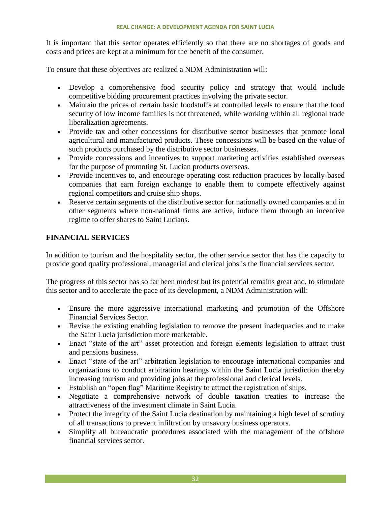It is important that this sector operates efficiently so that there are no shortages of goods and costs and prices are kept at a minimum for the benefit of the consumer.

To ensure that these objectives are realized a NDM Administration will:

- Develop a comprehensive food security policy and strategy that would include competitive bidding procurement practices involving the private sector.
- Maintain the prices of certain basic foodstuffs at controlled levels to ensure that the food security of low income families is not threatened, while working within all regional trade liberalization agreements.
- Provide tax and other concessions for distributive sector businesses that promote local agricultural and manufactured products. These concessions will be based on the value of such products purchased by the distributive sector businesses.
- Provide concessions and incentives to support marketing activities established overseas for the purpose of promoting St. Lucian products overseas.
- Provide incentives to, and encourage operating cost reduction practices by locally-based companies that earn foreign exchange to enable them to compete effectively against regional competitors and cruise ship shops.
- Reserve certain segments of the distributive sector for nationally owned companies and in other segments where non-national firms are active, induce them through an incentive regime to offer shares to Saint Lucians.

# **FINANCIAL SERVICES**

In addition to tourism and the hospitality sector, the other service sector that has the capacity to provide good quality professional, managerial and clerical jobs is the financial services sector.

The progress of this sector has so far been modest but its potential remains great and, to stimulate this sector and to accelerate the pace of its development, a NDM Administration will:

- Ensure the more aggressive international marketing and promotion of the Offshore Financial Services Sector.
- Revise the existing enabling legislation to remove the present inadequacies and to make the Saint Lucia jurisdiction more marketable.
- Enact "state of the art" asset protection and foreign elements legislation to attract trust and pensions business.
- Enact "state of the art" arbitration legislation to encourage international companies and organizations to conduct arbitration hearings within the Saint Lucia jurisdiction thereby increasing tourism and providing jobs at the professional and clerical levels.
- Establish an "open flag" Maritime Registry to attract the registration of ships.
- Negotiate a comprehensive network of double taxation treaties to increase the attractiveness of the investment climate in Saint Lucia.
- Protect the integrity of the Saint Lucia destination by maintaining a high level of scrutiny of all transactions to prevent infiltration by unsavory business operators.
- Simplify all bureaucratic procedures associated with the management of the offshore financial services sector.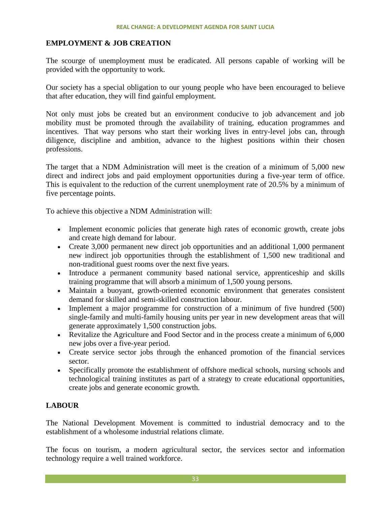#### **EMPLOYMENT & JOB CREATION**

The scourge of unemployment must be eradicated. All persons capable of working will be provided with the opportunity to work.

Our society has a special obligation to our young people who have been encouraged to believe that after education, they will find gainful employment.

Not only must jobs be created but an environment conducive to job advancement and job mobility must be promoted through the availability of training, education programmes and incentives. That way persons who start their working lives in entry-level jobs can, through diligence, discipline and ambition, advance to the highest positions within their chosen professions.

The target that a NDM Administration will meet is the creation of a minimum of 5,000 new direct and indirect jobs and paid employment opportunities during a five-year term of office. This is equivalent to the reduction of the current unemployment rate of 20.5% by a minimum of five percentage points.

To achieve this objective a NDM Administration will:

- Implement economic policies that generate high rates of economic growth, create jobs and create high demand for labour.
- Create 3,000 permanent new direct job opportunities and an additional 1,000 permanent new indirect job opportunities through the establishment of 1,500 new traditional and non-traditional guest rooms over the next five years.
- Introduce a permanent community based national service, apprenticeship and skills training programme that will absorb a minimum of 1,500 young persons.
- Maintain a buoyant, growth-oriented economic environment that generates consistent demand for skilled and semi-skilled construction labour.
- Implement a major programme for construction of a minimum of five hundred (500) single-family and multi-family housing units per year in new development areas that will generate approximately 1,500 construction jobs.
- Revitalize the Agriculture and Food Sector and in the process create a minimum of 6,000 new jobs over a five-year period.
- Create service sector jobs through the enhanced promotion of the financial services sector.
- Specifically promote the establishment of offshore medical schools, nursing schools and technological training institutes as part of a strategy to create educational opportunities, create jobs and generate economic growth.

# **LABOUR**

The National Development Movement is committed to industrial democracy and to the establishment of a wholesome industrial relations climate.

The focus on tourism, a modern agricultural sector, the services sector and information technology require a well trained workforce.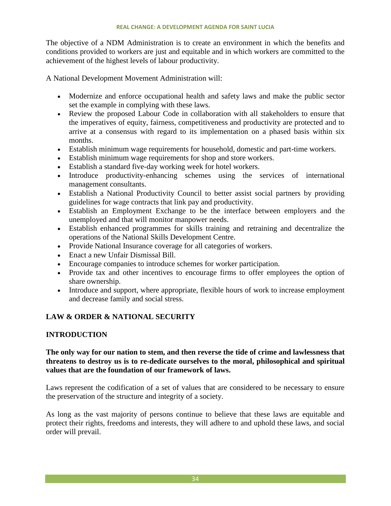The objective of a NDM Administration is to create an environment in which the benefits and conditions provided to workers are just and equitable and in which workers are committed to the achievement of the highest levels of labour productivity.

A National Development Movement Administration will:

- Modernize and enforce occupational health and safety laws and make the public sector set the example in complying with these laws.
- Review the proposed Labour Code in collaboration with all stakeholders to ensure that the imperatives of equity, fairness, competitiveness and productivity are protected and to arrive at a consensus with regard to its implementation on a phased basis within six months.
- Establish minimum wage requirements for household, domestic and part-time workers.
- Establish minimum wage requirements for shop and store workers.
- Establish a standard five-day working week for hotel workers.
- Introduce productivity-enhancing schemes using the services of international management consultants.
- Establish a National Productivity Council to better assist social partners by providing guidelines for wage contracts that link pay and productivity.
- Establish an Employment Exchange to be the interface between employers and the unemployed and that will monitor manpower needs.
- Establish enhanced programmes for skills training and retraining and decentralize the operations of the National Skills Development Centre.
- Provide National Insurance coverage for all categories of workers.
- Enact a new Unfair Dismissal Bill.
- Encourage companies to introduce schemes for worker participation.
- Provide tax and other incentives to encourage firms to offer employees the option of share ownership.
- Introduce and support, where appropriate, flexible hours of work to increase employment and decrease family and social stress.

# **LAW & ORDER & NATIONAL SECURITY**

# **INTRODUCTION**

# **The only way for our nation to stem, and then reverse the tide of crime and lawlessness that threatens to destroy us is to re-dedicate ourselves to the moral, philosophical and spiritual values that are the foundation of our framework of laws.**

Laws represent the codification of a set of values that are considered to be necessary to ensure the preservation of the structure and integrity of a society.

As long as the vast majority of persons continue to believe that these laws are equitable and protect their rights, freedoms and interests, they will adhere to and uphold these laws, and social order will prevail.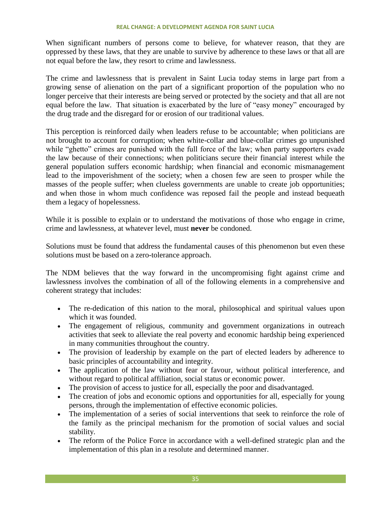When significant numbers of persons come to believe, for whatever reason, that they are oppressed by these laws, that they are unable to survive by adherence to these laws or that all are not equal before the law, they resort to crime and lawlessness.

The crime and lawlessness that is prevalent in Saint Lucia today stems in large part from a growing sense of alienation on the part of a significant proportion of the population who no longer perceive that their interests are being served or protected by the society and that all are not equal before the law. That situation is exacerbated by the lure of "easy money" encouraged by the drug trade and the disregard for or erosion of our traditional values.

This perception is reinforced daily when leaders refuse to be accountable; when politicians are not brought to account for corruption; when white-collar and blue-collar crimes go unpunished while "ghetto" crimes are punished with the full force of the law; when party supporters evade the law because of their connections; when politicians secure their financial interest while the general population suffers economic hardship; when financial and economic mismanagement lead to the impoverishment of the society; when a chosen few are seen to prosper while the masses of the people suffer; when clueless governments are unable to create job opportunities; and when those in whom much confidence was reposed fail the people and instead bequeath them a legacy of hopelessness.

While it is possible to explain or to understand the motivations of those who engage in crime, crime and lawlessness, at whatever level, must **never** be condoned.

Solutions must be found that address the fundamental causes of this phenomenon but even these solutions must be based on a zero-tolerance approach.

The NDM believes that the way forward in the uncompromising fight against crime and lawlessness involves the combination of all of the following elements in a comprehensive and coherent strategy that includes:

- The re-dedication of this nation to the moral, philosophical and spiritual values upon which it was founded.
- The engagement of religious, community and government organizations in outreach activities that seek to alleviate the real poverty and economic hardship being experienced in many communities throughout the country.
- The provision of leadership by example on the part of elected leaders by adherence to basic principles of accountability and integrity.
- The application of the law without fear or favour, without political interference, and without regard to political affiliation, social status or economic power.
- The provision of access to justice for all, especially the poor and disadvantaged.
- The creation of jobs and economic options and opportunities for all, especially for young persons, through the implementation of effective economic policies.
- The implementation of a series of social interventions that seek to reinforce the role of the family as the principal mechanism for the promotion of social values and social stability.
- The reform of the Police Force in accordance with a well-defined strategic plan and the implementation of this plan in a resolute and determined manner.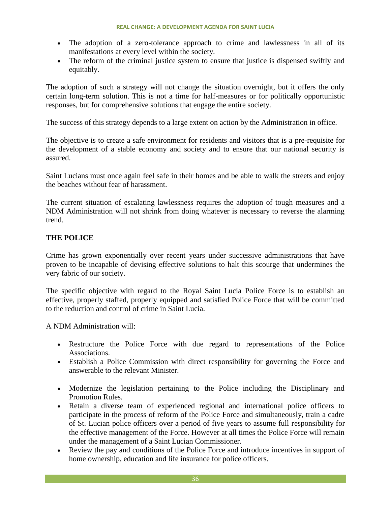- The adoption of a zero-tolerance approach to crime and lawlessness in all of its manifestations at every level within the society.
- The reform of the criminal justice system to ensure that justice is dispensed swiftly and equitably.

The adoption of such a strategy will not change the situation overnight, but it offers the only certain long-term solution. This is not a time for half-measures or for politically opportunistic responses, but for comprehensive solutions that engage the entire society.

The success of this strategy depends to a large extent on action by the Administration in office.

The objective is to create a safe environment for residents and visitors that is a pre-requisite for the development of a stable economy and society and to ensure that our national security is assured.

Saint Lucians must once again feel safe in their homes and be able to walk the streets and enjoy the beaches without fear of harassment.

The current situation of escalating lawlessness requires the adoption of tough measures and a NDM Administration will not shrink from doing whatever is necessary to reverse the alarming trend.

# **THE POLICE**

Crime has grown exponentially over recent years under successive administrations that have proven to be incapable of devising effective solutions to halt this scourge that undermines the very fabric of our society.

The specific objective with regard to the Royal Saint Lucia Police Force is to establish an effective, properly staffed, properly equipped and satisfied Police Force that will be committed to the reduction and control of crime in Saint Lucia.

A NDM Administration will:

- Restructure the Police Force with due regard to representations of the Police Associations.
- Establish a Police Commission with direct responsibility for governing the Force and answerable to the relevant Minister.
- Modernize the legislation pertaining to the Police including the Disciplinary and Promotion Rules.
- Retain a diverse team of experienced regional and international police officers to participate in the process of reform of the Police Force and simultaneously, train a cadre of St. Lucian police officers over a period of five years to assume full responsibility for the effective management of the Force. However at all times the Police Force will remain under the management of a Saint Lucian Commissioner.
- Review the pay and conditions of the Police Force and introduce incentives in support of home ownership, education and life insurance for police officers.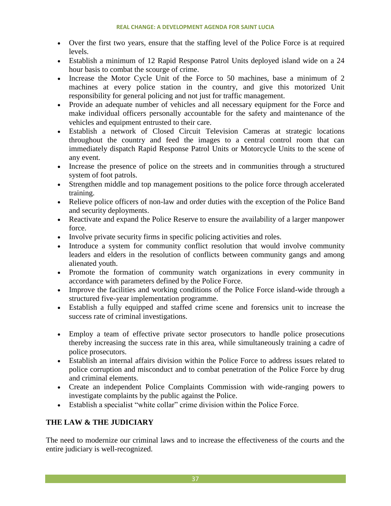- Over the first two years, ensure that the staffing level of the Police Force is at required levels.
- Establish a minimum of 12 Rapid Response Patrol Units deployed island wide on a 24 hour basis to combat the scourge of crime.
- Increase the Motor Cycle Unit of the Force to 50 machines, base a minimum of 2 machines at every police station in the country, and give this motorized Unit responsibility for general policing and not just for traffic management.
- Provide an adequate number of vehicles and all necessary equipment for the Force and make individual officers personally accountable for the safety and maintenance of the vehicles and equipment entrusted to their care.
- Establish a network of Closed Circuit Television Cameras at strategic locations throughout the country and feed the images to a central control room that can immediately dispatch Rapid Response Patrol Units or Motorcycle Units to the scene of any event.
- Increase the presence of police on the streets and in communities through a structured system of foot patrols.
- Strengthen middle and top management positions to the police force through accelerated training.
- Relieve police officers of non-law and order duties with the exception of the Police Band and security deployments.
- Reactivate and expand the Police Reserve to ensure the availability of a larger manpower force.
- Involve private security firms in specific policing activities and roles.
- Introduce a system for community conflict resolution that would involve community leaders and elders in the resolution of conflicts between community gangs and among alienated youth.
- Promote the formation of community watch organizations in every community in accordance with parameters defined by the Police Force.
- Improve the facilities and working conditions of the Police Force island-wide through a structured five-year implementation programme.
- Establish a fully equipped and staffed crime scene and forensics unit to increase the success rate of criminal investigations.
- Employ a team of effective private sector prosecutors to handle police prosecutions thereby increasing the success rate in this area, while simultaneously training a cadre of police prosecutors.
- Establish an internal affairs division within the Police Force to address issues related to police corruption and misconduct and to combat penetration of the Police Force by drug and criminal elements.
- Create an independent Police Complaints Commission with wide-ranging powers to investigate complaints by the public against the Police.
- Establish a specialist "white collar" crime division within the Police Force.

# **THE LAW & THE JUDICIARY**

The need to modernize our criminal laws and to increase the effectiveness of the courts and the entire judiciary is well-recognized.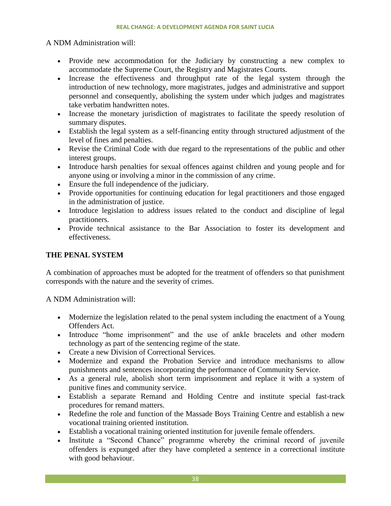A NDM Administration will:

- Provide new accommodation for the Judiciary by constructing a new complex to accommodate the Supreme Court, the Registry and Magistrates Courts.
- Increase the effectiveness and throughput rate of the legal system through the introduction of new technology, more magistrates, judges and administrative and support personnel and consequently, abolishing the system under which judges and magistrates take verbatim handwritten notes.
- Increase the monetary jurisdiction of magistrates to facilitate the speedy resolution of summary disputes.
- Establish the legal system as a self-financing entity through structured adjustment of the level of fines and penalties.
- Revise the Criminal Code with due regard to the representations of the public and other interest groups.
- Introduce harsh penalties for sexual offences against children and young people and for anyone using or involving a minor in the commission of any crime.
- Ensure the full independence of the judiciary.
- Provide opportunities for continuing education for legal practitioners and those engaged in the administration of justice.
- Introduce legislation to address issues related to the conduct and discipline of legal practitioners.
- Provide technical assistance to the Bar Association to foster its development and effectiveness.

# **THE PENAL SYSTEM**

A combination of approaches must be adopted for the treatment of offenders so that punishment corresponds with the nature and the severity of crimes.

A NDM Administration will:

- Modernize the legislation related to the penal system including the enactment of a Young Offenders Act.
- Introduce "home imprisonment" and the use of ankle bracelets and other modern technology as part of the sentencing regime of the state.
- Create a new Division of Correctional Services.
- Modernize and expand the Probation Service and introduce mechanisms to allow punishments and sentences incorporating the performance of Community Service.
- As a general rule, abolish short term imprisonment and replace it with a system of punitive fines and community service.
- Establish a separate Remand and Holding Centre and institute special fast-track procedures for remand matters.
- Redefine the role and function of the Massade Boys Training Centre and establish a new vocational training oriented institution.
- Establish a vocational training oriented institution for juvenile female offenders.
- Institute a "Second Chance" programme whereby the criminal record of juvenile offenders is expunged after they have completed a sentence in a correctional institute with good behaviour.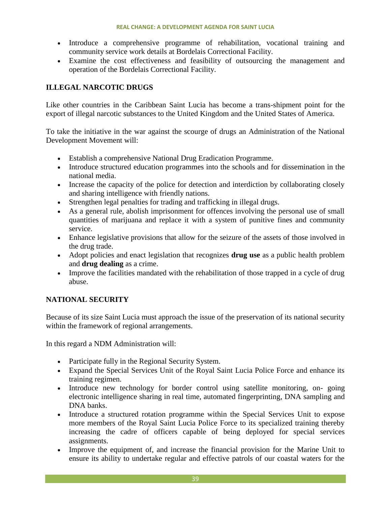- Introduce a comprehensive programme of rehabilitation, vocational training and community service work details at Bordelais Correctional Facility.
- Examine the cost effectiveness and feasibility of outsourcing the management and operation of the Bordelais Correctional Facility.

# **ILLEGAL NARCOTIC DRUGS**

Like other countries in the Caribbean Saint Lucia has become a trans-shipment point for the export of illegal narcotic substances to the United Kingdom and the United States of America.

To take the initiative in the war against the scourge of drugs an Administration of the National Development Movement will:

- Establish a comprehensive National Drug Eradication Programme.
- Introduce structured education programmes into the schools and for dissemination in the national media.
- Increase the capacity of the police for detection and interdiction by collaborating closely and sharing intelligence with friendly nations.
- Strengthen legal penalties for trading and trafficking in illegal drugs.
- As a general rule, abolish imprisonment for offences involving the personal use of small quantities of marijuana and replace it with a system of punitive fines and community service.
- Enhance legislative provisions that allow for the seizure of the assets of those involved in the drug trade.
- Adopt policies and enact legislation that recognizes **drug use** as a public health problem and **drug dealing** as a crime.
- Improve the facilities mandated with the rehabilitation of those trapped in a cycle of drug abuse.

# **NATIONAL SECURITY**

Because of its size Saint Lucia must approach the issue of the preservation of its national security within the framework of regional arrangements.

In this regard a NDM Administration will:

- Participate fully in the Regional Security System.
- Expand the Special Services Unit of the Royal Saint Lucia Police Force and enhance its training regimen.
- Introduce new technology for border control using satellite monitoring, on- going electronic intelligence sharing in real time, automated fingerprinting, DNA sampling and DNA banks.
- Introduce a structured rotation programme within the Special Services Unit to expose more members of the Royal Saint Lucia Police Force to its specialized training thereby increasing the cadre of officers capable of being deployed for special services assignments.
- Improve the equipment of, and increase the financial provision for the Marine Unit to ensure its ability to undertake regular and effective patrols of our coastal waters for the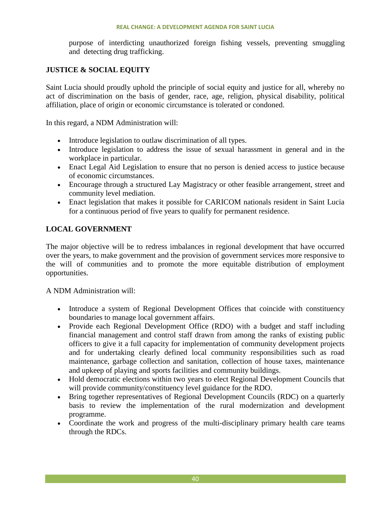#### **REAL CHANGE: A DEVELOPMENT AGENDA FOR SAINT LUCIA**

purpose of interdicting unauthorized foreign fishing vessels, preventing smuggling and detecting drug trafficking.

# **JUSTICE & SOCIAL EQUITY**

Saint Lucia should proudly uphold the principle of social equity and justice for all, whereby no act of discrimination on the basis of gender, race, age, religion, physical disability, political affiliation, place of origin or economic circumstance is tolerated or condoned.

In this regard, a NDM Administration will:

- Introduce legislation to outlaw discrimination of all types.
- Introduce legislation to address the issue of sexual harassment in general and in the workplace in particular.
- Enact Legal Aid Legislation to ensure that no person is denied access to justice because of economic circumstances.
- Encourage through a structured Lay Magistracy or other feasible arrangement, street and community level mediation.
- Enact legislation that makes it possible for CARICOM nationals resident in Saint Lucia for a continuous period of five years to qualify for permanent residence.

# **LOCAL GOVERNMENT**

The major objective will be to redress imbalances in regional development that have occurred over the years, to make government and the provision of government services more responsive to the will of communities and to promote the more equitable distribution of employment opportunities.

A NDM Administration will:

- Introduce a system of Regional Development Offices that coincide with constituency boundaries to manage local government affairs.
- Provide each Regional Development Office (RDO) with a budget and staff including financial management and control staff drawn from among the ranks of existing public officers to give it a full capacity for implementation of community development projects and for undertaking clearly defined local community responsibilities such as road maintenance, garbage collection and sanitation, collection of house taxes, maintenance and upkeep of playing and sports facilities and community buildings.
- Hold democratic elections within two years to elect Regional Development Councils that will provide community/constituency level guidance for the RDO.
- Bring together representatives of Regional Development Councils (RDC) on a quarterly basis to review the implementation of the rural modernization and development programme.
- Coordinate the work and progress of the multi-disciplinary primary health care teams through the RDCs.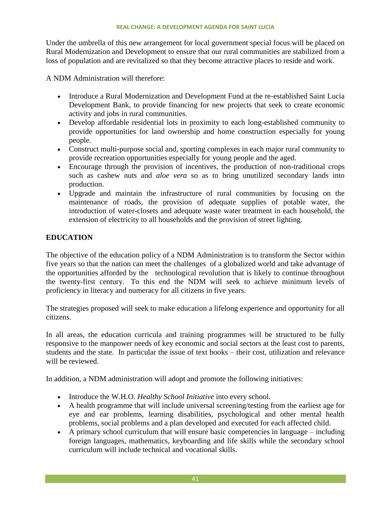#### **REAL CHANGE: A DEVELOPMENT AGENDA FOR SAINT LUCIA**

Under the umbrella of this new arrangement for local government special focus will be placed on Rural Modernization and Development to ensure that our rural communities are stabilized from a loss of population and are revitalized so that they become attractive places to reside and work.

A NDM Administration will therefore:

- Introduce a Rural Modernization and Development Fund at the re-established Saint Lucia Development Bank, to provide financing for new projects that seek to create economic activity and jobs in rural communities.
- Develop affordable residential lots in proximity to each long-established community to provide opportunities for land ownership and home construction especially for young people.
- Construct multi-purpose social and, sporting complexes in each major rural community to provide recreation opportunities especially for young people and the aged.
- Encourage through the provision of incentives, the production of non-traditional crops such as cashew nuts and *aloe vera* so as to bring unutilized secondary lands into production.
- Upgrade and maintain the infrastructure of rural communities by focusing on the maintenance of roads, the provision of adequate supplies of potable water, the introduction of water-closets and adequate waste water treatment in each household, the extension of electricity to all households and the provision of street lighting.

# **EDUCATION**

The objective of the education policy of a NDM Administration is to transform the Sector within five years so that the nation can meet the challenges of a globalized world and take advantage of the opportunities afforded by the technological revolution that is likely to continue throughout the twenty-first century. To this end the NDM will seek to achieve minimum levels of proficiency in literacy and numeracy for all citizens in five years.

The strategies proposed will seek to make education a lifelong experience and opportunity for all citizens.

In all areas, the education curricula and training programmes will be structured to be fully responsive to the manpower needs of key economic and social sectors at the least cost to parents, students and the state. In particular the issue of text books – their cost, utilization and relevance will be reviewed.

In addition, a NDM administration will adopt and promote the following initiatives:

- Introduce the W.H.O. *Healthy School Initiative* into every school.
- A health programme that will include universal screening/testing from the earliest age for eye and ear problems, learning disabilities, psychological and other mental health problems, social problems and a plan developed and executed for each affected child.
- A primary school curriculum that will ensure basic competencies in language including foreign languages, mathematics, keyboarding and life skills while the secondary school curriculum will include technical and vocational skills.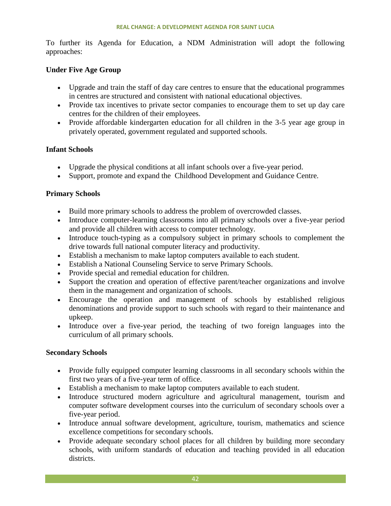To further its Agenda for Education, a NDM Administration will adopt the following approaches:

## **Under Five Age Group**

- Upgrade and train the staff of day care centres to ensure that the educational programmes in centres are structured and consistent with national educational objectives.
- Provide tax incentives to private sector companies to encourage them to set up day care centres for the children of their employees.
- Provide affordable kindergarten education for all children in the 3-5 year age group in privately operated, government regulated and supported schools.

## **Infant Schools**

- Upgrade the physical conditions at all infant schools over a five-year period.
- Support, promote and expand the Childhood Development and Guidance Centre.

#### **Primary Schools**

- Build more primary schools to address the problem of overcrowded classes.
- Introduce computer-learning classrooms into all primary schools over a five-year period and provide all children with access to computer technology.
- Introduce touch-typing as a compulsory subject in primary schools to complement the drive towards full national computer literacy and productivity.
- Establish a mechanism to make laptop computers available to each student.
- Establish a National Counseling Service to serve Primary Schools.
- Provide special and remedial education for children.
- Support the creation and operation of effective parent/teacher organizations and involve them in the management and organization of schools.
- Encourage the operation and management of schools by established religious denominations and provide support to such schools with regard to their maintenance and upkeep.
- Introduce over a five-year period, the teaching of two foreign languages into the curriculum of all primary schools.

#### **Secondary Schools**

- Provide fully equipped computer learning classrooms in all secondary schools within the first two years of a five-year term of office.
- Establish a mechanism to make laptop computers available to each student.
- Introduce structured modern agriculture and agricultural management, tourism and computer software development courses into the curriculum of secondary schools over a five-year period.
- Introduce annual software development, agriculture, tourism, mathematics and science excellence competitions for secondary schools.
- Provide adequate secondary school places for all children by building more secondary schools, with uniform standards of education and teaching provided in all education districts.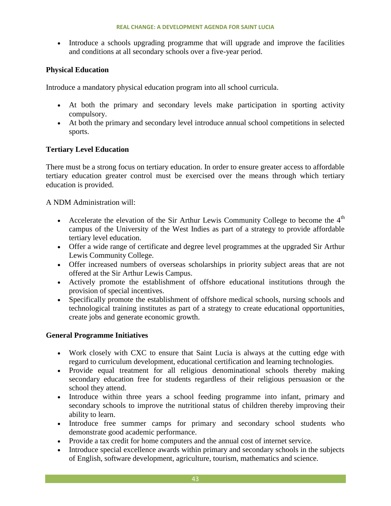• Introduce a schools upgrading programme that will upgrade and improve the facilities and conditions at all secondary schools over a five-year period.

## **Physical Education**

Introduce a mandatory physical education program into all school curricula.

- At both the primary and secondary levels make participation in sporting activity compulsory.
- At both the primary and secondary level introduce annual school competitions in selected sports.

## **Tertiary Level Education**

There must be a strong focus on tertiary education. In order to ensure greater access to affordable tertiary education greater control must be exercised over the means through which tertiary education is provided.

A NDM Administration will:

- Accelerate the elevation of the Sir Arthur Lewis Community College to become the  $4<sup>th</sup>$ campus of the University of the West Indies as part of a strategy to provide affordable tertiary level education.
- Offer a wide range of certificate and degree level programmes at the upgraded Sir Arthur Lewis Community College.
- Offer increased numbers of overseas scholarships in priority subject areas that are not offered at the Sir Arthur Lewis Campus.
- Actively promote the establishment of offshore educational institutions through the provision of special incentives.
- Specifically promote the establishment of offshore medical schools, nursing schools and technological training institutes as part of a strategy to create educational opportunities, create jobs and generate economic growth.

#### **General Programme Initiatives**

- Work closely with CXC to ensure that Saint Lucia is always at the cutting edge with regard to curriculum development, educational certification and learning technologies.
- Provide equal treatment for all religious denominational schools thereby making secondary education free for students regardless of their religious persuasion or the school they attend.
- Introduce within three years a school feeding programme into infant, primary and secondary schools to improve the nutritional status of children thereby improving their ability to learn.
- Introduce free summer camps for primary and secondary school students who demonstrate good academic performance.
- Provide a tax credit for home computers and the annual cost of internet service.
- Introduce special excellence awards within primary and secondary schools in the subjects of English, software development, agriculture, tourism, mathematics and science.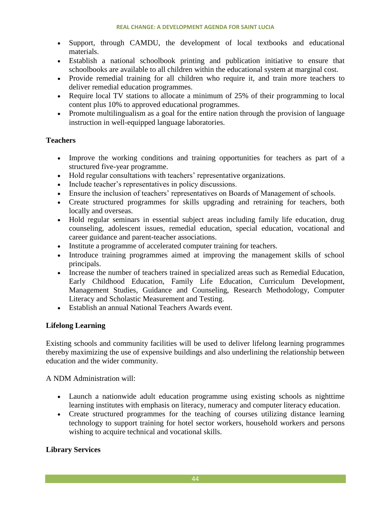- Support, through CAMDU, the development of local textbooks and educational materials.
- Establish a national schoolbook printing and publication initiative to ensure that schoolbooks are available to all children within the educational system at marginal cost.
- Provide remedial training for all children who require it, and train more teachers to deliver remedial education programmes.
- Require local TV stations to allocate a minimum of 25% of their programming to local content plus 10% to approved educational programmes.
- Promote multilingualism as a goal for the entire nation through the provision of language instruction in well-equipped language laboratories.

# **Teachers**

- Improve the working conditions and training opportunities for teachers as part of a structured five-year programme.
- Hold regular consultations with teachers' representative organizations.
- Include teacher's representatives in policy discussions.
- Ensure the inclusion of teachers' representatives on Boards of Management of schools.
- Create structured programmes for skills upgrading and retraining for teachers, both locally and overseas.
- Hold regular seminars in essential subject areas including family life education, drug counseling, adolescent issues, remedial education, special education, vocational and career guidance and parent-teacher associations.
- Institute a programme of accelerated computer training for teachers.
- Introduce training programmes aimed at improving the management skills of school principals.
- Increase the number of teachers trained in specialized areas such as Remedial Education, Early Childhood Education, Family Life Education, Curriculum Development, Management Studies, Guidance and Counseling, Research Methodology, Computer Literacy and Scholastic Measurement and Testing.
- Establish an annual National Teachers Awards event.

# **Lifelong Learning**

Existing schools and community facilities will be used to deliver lifelong learning programmes thereby maximizing the use of expensive buildings and also underlining the relationship between education and the wider community.

A NDM Administration will:

- Launch a nationwide adult education programme using existing schools as nighttime learning institutes with emphasis on literacy, numeracy and computer literacy education.
- Create structured programmes for the teaching of courses utilizing distance learning technology to support training for hotel sector workers, household workers and persons wishing to acquire technical and vocational skills.

# **Library Services**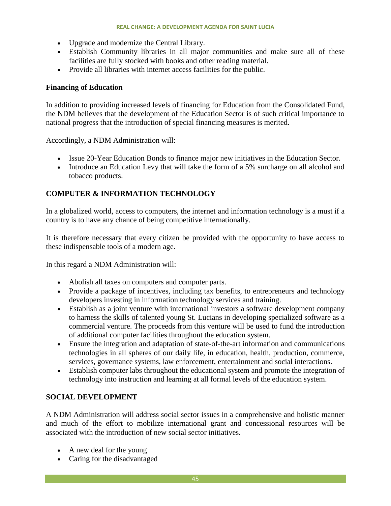#### **REAL CHANGE: A DEVELOPMENT AGENDA FOR SAINT LUCIA**

- Upgrade and modernize the Central Library.
- Establish Community libraries in all major communities and make sure all of these facilities are fully stocked with books and other reading material.
- Provide all libraries with internet access facilities for the public.

# **Financing of Education**

In addition to providing increased levels of financing for Education from the Consolidated Fund, the NDM believes that the development of the Education Sector is of such critical importance to national progress that the introduction of special financing measures is merited.

Accordingly, a NDM Administration will:

- Issue 20-Year Education Bonds to finance major new initiatives in the Education Sector.
- Introduce an Education Levy that will take the form of a 5% surcharge on all alcohol and tobacco products.

# **COMPUTER & INFORMATION TECHNOLOGY**

In a globalized world, access to computers, the internet and information technology is a must if a country is to have any chance of being competitive internationally.

It is therefore necessary that every citizen be provided with the opportunity to have access to these indispensable tools of a modern age.

In this regard a NDM Administration will:

- Abolish all taxes on computers and computer parts.
- Provide a package of incentives, including tax benefits, to entrepreneurs and technology developers investing in information technology services and training.
- Establish as a joint venture with international investors a software development company to harness the skills of talented young St. Lucians in developing specialized software as a commercial venture. The proceeds from this venture will be used to fund the introduction of additional computer facilities throughout the education system.
- Ensure the integration and adaptation of state-of-the-art information and communications technologies in all spheres of our daily life, in education, health, production, commerce, services, governance systems, law enforcement, entertainment and social interactions.
- Establish computer labs throughout the educational system and promote the integration of technology into instruction and learning at all formal levels of the education system.

# **SOCIAL DEVELOPMENT**

A NDM Administration will address social sector issues in a comprehensive and holistic manner and much of the effort to mobilize international grant and concessional resources will be associated with the introduction of new social sector initiatives.

- A new deal for the young
- Caring for the disadvantaged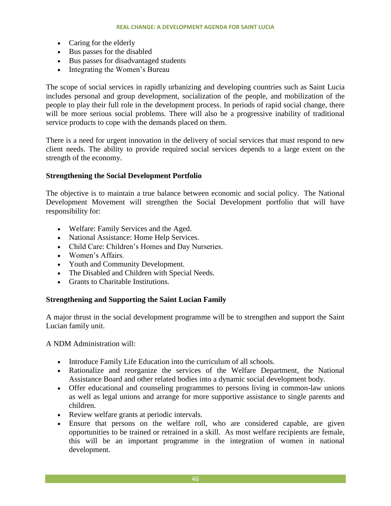- Caring for the elderly
- Bus passes for the disabled
- Bus passes for disadvantaged students
- Integrating the Women's Bureau

The scope of social services in rapidly urbanizing and developing countries such as Saint Lucia includes personal and group development, socialization of the people, and mobilization of the people to play their full role in the development process. In periods of rapid social change, there will be more serious social problems. There will also be a progressive inability of traditional service products to cope with the demands placed on them.

There is a need for urgent innovation in the delivery of social services that must respond to new client needs. The ability to provide required social services depends to a large extent on the strength of the economy.

#### **Strengthening the Social Development Portfolio**

The objective is to maintain a true balance between economic and social policy. The National Development Movement will strengthen the Social Development portfolio that will have responsibility for:

- Welfare: Family Services and the Aged.
- National Assistance: Home Help Services.
- Child Care: Children's Homes and Day Nurseries.
- Women's Affairs.
- Youth and Community Development.
- The Disabled and Children with Special Needs.
- Grants to Charitable Institutions.

#### **Strengthening and Supporting the Saint Lucian Family**

A major thrust in the social development programme will be to strengthen and support the Saint Lucian family unit.

A NDM Administration will:

- Introduce Family Life Education into the curriculum of all schools.
- Rationalize and reorganize the services of the Welfare Department, the National Assistance Board and other related bodies into a dynamic social development body.
- Offer educational and counseling programmes to persons living in common-law unions as well as legal unions and arrange for more supportive assistance to single parents and children.
- Review welfare grants at periodic intervals.
- Ensure that persons on the welfare roll, who are considered capable, are given opportunities to be trained or retrained in a skill. As most welfare recipients are female, this will be an important programme in the integration of women in national development.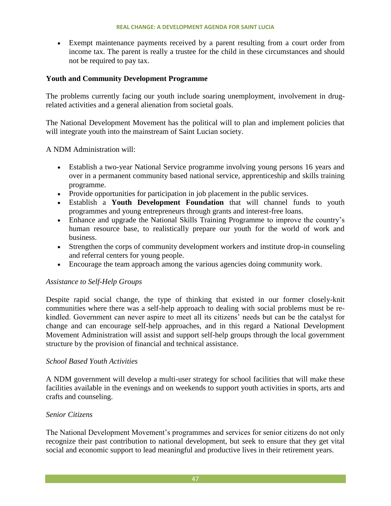Exempt maintenance payments received by a parent resulting from a court order from income tax. The parent is really a trustee for the child in these circumstances and should not be required to pay tax.

# **Youth and Community Development Programme**

The problems currently facing our youth include soaring unemployment, involvement in drugrelated activities and a general alienation from societal goals.

The National Development Movement has the political will to plan and implement policies that will integrate youth into the mainstream of Saint Lucian society.

A NDM Administration will:

- Establish a two-year National Service programme involving young persons 16 years and over in a permanent community based national service, apprenticeship and skills training programme.
- Provide opportunities for participation in job placement in the public services.
- Establish a **Youth Development Foundation** that will channel funds to youth programmes and young entrepreneurs through grants and interest-free loans.
- Enhance and upgrade the National Skills Training Programme to improve the country's human resource base, to realistically prepare our youth for the world of work and business.
- Strengthen the corps of community development workers and institute drop-in counseling and referral centers for young people.
- Encourage the team approach among the various agencies doing community work.

# *Assistance to Self-Help Groups*

Despite rapid social change, the type of thinking that existed in our former closely-knit communities where there was a self-help approach to dealing with social problems must be rekindled. Government can never aspire to meet all its citizens' needs but can be the catalyst for change and can encourage self-help approaches, and in this regard a National Development Movement Administration will assist and support self-help groups through the local government structure by the provision of financial and technical assistance.

# *School Based Youth Activities*

A NDM government will develop a multi-user strategy for school facilities that will make these facilities available in the evenings and on weekends to support youth activities in sports, arts and crafts and counseling.

# *Senior Citizens*

The National Development Movement's programmes and services for senior citizens do not only recognize their past contribution to national development, but seek to ensure that they get vital social and economic support to lead meaningful and productive lives in their retirement years.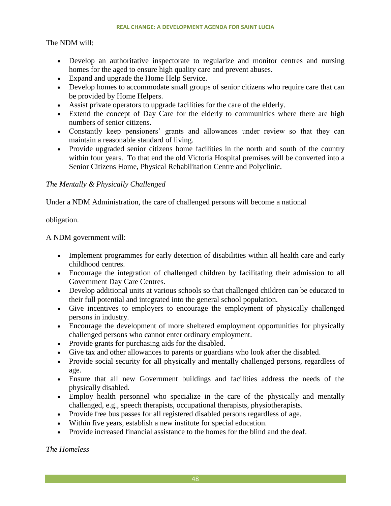#### **REAL CHANGE: A DEVELOPMENT AGENDA FOR SAINT LUCIA**

## The NDM will:

- Develop an authoritative inspectorate to regularize and monitor centres and nursing homes for the aged to ensure high quality care and prevent abuses.
- Expand and upgrade the Home Help Service.
- Develop homes to accommodate small groups of senior citizens who require care that can be provided by Home Helpers.
- Assist private operators to upgrade facilities for the care of the elderly.
- Extend the concept of Day Care for the elderly to communities where there are high numbers of senior citizens.
- Constantly keep pensioners' grants and allowances under review so that they can maintain a reasonable standard of living.
- Provide upgraded senior citizens home facilities in the north and south of the country within four years. To that end the old Victoria Hospital premises will be converted into a Senior Citizens Home, Physical Rehabilitation Centre and Polyclinic.

# *The Mentally & Physically Challenged*

Under a NDM Administration, the care of challenged persons will become a national

obligation.

A NDM government will:

- Implement programmes for early detection of disabilities within all health care and early childhood centres.
- Encourage the integration of challenged children by facilitating their admission to all Government Day Care Centres.
- Develop additional units at various schools so that challenged children can be educated to their full potential and integrated into the general school population.
- Give incentives to employers to encourage the employment of physically challenged persons in industry.
- Encourage the development of more sheltered employment opportunities for physically challenged persons who cannot enter ordinary employment.
- Provide grants for purchasing aids for the disabled.
- Give tax and other allowances to parents or guardians who look after the disabled.
- Provide social security for all physically and mentally challenged persons, regardless of age.
- Ensure that all new Government buildings and facilities address the needs of the physically disabled.
- Employ health personnel who specialize in the care of the physically and mentally challenged, e.g., speech therapists, occupational therapists, physiotherapists.
- Provide free bus passes for all registered disabled persons regardless of age.
- Within five years, establish a new institute for special education.
- Provide increased financial assistance to the homes for the blind and the deaf.

*The Homeless*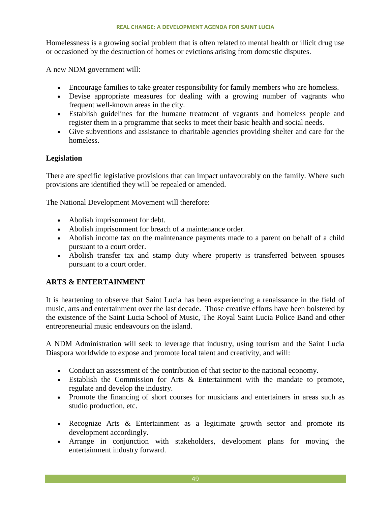Homelessness is a growing social problem that is often related to mental health or illicit drug use or occasioned by the destruction of homes or evictions arising from domestic disputes.

A new NDM government will:

- Encourage families to take greater responsibility for family members who are homeless.
- Devise appropriate measures for dealing with a growing number of vagrants who frequent well-known areas in the city.
- Establish guidelines for the humane treatment of vagrants and homeless people and register them in a programme that seeks to meet their basic health and social needs.
- Give subventions and assistance to charitable agencies providing shelter and care for the homeless.

# **Legislation**

There are specific legislative provisions that can impact unfavourably on the family. Where such provisions are identified they will be repealed or amended.

The National Development Movement will therefore:

- Abolish imprisonment for debt.
- Abolish imprisonment for breach of a maintenance order.
- Abolish income tax on the maintenance payments made to a parent on behalf of a child pursuant to a court order.
- Abolish transfer tax and stamp duty where property is transferred between spouses pursuant to a court order.

# **ARTS & ENTERTAINMENT**

It is heartening to observe that Saint Lucia has been experiencing a renaissance in the field of music, arts and entertainment over the last decade. Those creative efforts have been bolstered by the existence of the Saint Lucia School of Music, The Royal Saint Lucia Police Band and other entrepreneurial music endeavours on the island.

A NDM Administration will seek to leverage that industry, using tourism and the Saint Lucia Diaspora worldwide to expose and promote local talent and creativity, and will:

- Conduct an assessment of the contribution of that sector to the national economy.
- Establish the Commission for Arts & Entertainment with the mandate to promote, regulate and develop the industry.
- Promote the financing of short courses for musicians and entertainers in areas such as studio production, etc.
- Recognize Arts & Entertainment as a legitimate growth sector and promote its development accordingly.
- Arrange in conjunction with stakeholders, development plans for moving the entertainment industry forward.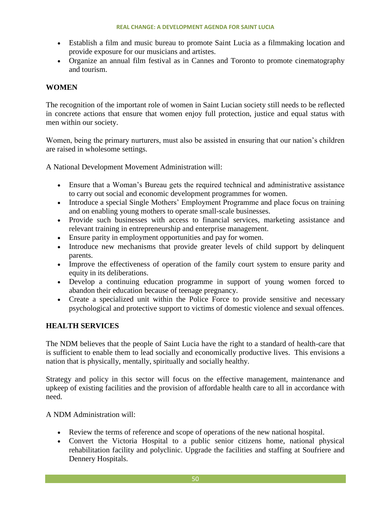- Establish a film and music bureau to promote Saint Lucia as a filmmaking location and provide exposure for our musicians and artistes.
- Organize an annual film festival as in Cannes and Toronto to promote cinematography and tourism.

# **WOMEN**

The recognition of the important role of women in Saint Lucian society still needs to be reflected in concrete actions that ensure that women enjoy full protection, justice and equal status with men within our society.

Women, being the primary nurturers, must also be assisted in ensuring that our nation's children are raised in wholesome settings.

A National Development Movement Administration will:

- Ensure that a Woman's Bureau gets the required technical and administrative assistance to carry out social and economic development programmes for women.
- Introduce a special Single Mothers' Employment Programme and place focus on training and on enabling young mothers to operate small-scale businesses.
- Provide such businesses with access to financial services, marketing assistance and relevant training in entrepreneurship and enterprise management.
- Ensure parity in employment opportunities and pay for women.
- Introduce new mechanisms that provide greater levels of child support by delinquent parents.
- Improve the effectiveness of operation of the family court system to ensure parity and equity in its deliberations.
- Develop a continuing education programme in support of young women forced to abandon their education because of teenage pregnancy.
- Create a specialized unit within the Police Force to provide sensitive and necessary psychological and protective support to victims of domestic violence and sexual offences.

# **HEALTH SERVICES**

The NDM believes that the people of Saint Lucia have the right to a standard of health-care that is sufficient to enable them to lead socially and economically productive lives. This envisions a nation that is physically, mentally, spiritually and socially healthy.

Strategy and policy in this sector will focus on the effective management, maintenance and upkeep of existing facilities and the provision of affordable health care to all in accordance with need.

A NDM Administration will:

- Review the terms of reference and scope of operations of the new national hospital.
- Convert the Victoria Hospital to a public senior citizens home, national physical rehabilitation facility and polyclinic. Upgrade the facilities and staffing at Soufriere and Dennery Hospitals.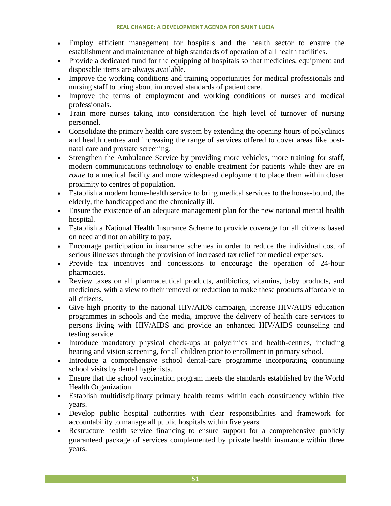- Employ efficient management for hospitals and the health sector to ensure the establishment and maintenance of high standards of operation of all health facilities.
- Provide a dedicated fund for the equipping of hospitals so that medicines, equipment and disposable items are always available.
- Improve the working conditions and training opportunities for medical professionals and nursing staff to bring about improved standards of patient care.
- Improve the terms of employment and working conditions of nurses and medical professionals.
- Train more nurses taking into consideration the high level of turnover of nursing personnel.
- Consolidate the primary health care system by extending the opening hours of polyclinics and health centres and increasing the range of services offered to cover areas like postnatal care and prostate screening.
- Strengthen the Ambulance Service by providing more vehicles, more training for staff, modern communications technology to enable treatment for patients while they are *en route* to a medical facility and more widespread deployment to place them within closer proximity to centres of population.
- Establish a modern home-health service to bring medical services to the house-bound, the elderly, the handicapped and the chronically ill.
- Ensure the existence of an adequate management plan for the new national mental health hospital.
- Establish a National Health Insurance Scheme to provide coverage for all citizens based on need and not on ability to pay.
- Encourage participation in insurance schemes in order to reduce the individual cost of serious illnesses through the provision of increased tax relief for medical expenses.
- Provide tax incentives and concessions to encourage the operation of 24-hour pharmacies.
- Review taxes on all pharmaceutical products, antibiotics, vitamins, baby products, and medicines, with a view to their removal or reduction to make these products affordable to all citizens.
- Give high priority to the national HIV/AIDS campaign, increase HIV/AIDS education programmes in schools and the media, improve the delivery of health care services to persons living with HIV/AIDS and provide an enhanced HIV/AIDS counseling and testing service.
- Introduce mandatory physical check-ups at polyclinics and health-centres, including hearing and vision screening, for all children prior to enrollment in primary school.
- Introduce a comprehensive school dental-care programme incorporating continuing school visits by dental hygienists.
- Ensure that the school vaccination program meets the standards established by the World Health Organization.
- Establish multidisciplinary primary health teams within each constituency within five years.
- Develop public hospital authorities with clear responsibilities and framework for accountability to manage all public hospitals within five years.
- Restructure health service financing to ensure support for a comprehensive publicly guaranteed package of services complemented by private health insurance within three years.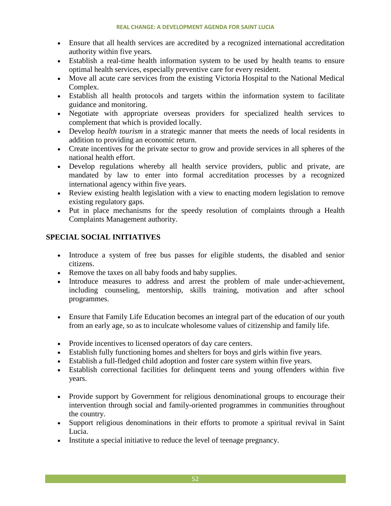- Ensure that all health services are accredited by a recognized international accreditation authority within five years.
- Establish a real-time health information system to be used by health teams to ensure optimal health services, especially preventive care for every resident.
- Move all acute care services from the existing Victoria Hospital to the National Medical Complex.
- Establish all health protocols and targets within the information system to facilitate guidance and monitoring.
- Negotiate with appropriate overseas providers for specialized health services to complement that which is provided locally.
- Develop *health tourism* in a strategic manner that meets the needs of local residents in addition to providing an economic return.
- Create incentives for the private sector to grow and provide services in all spheres of the national health effort.
- Develop regulations whereby all health service providers, public and private, are mandated by law to enter into formal accreditation processes by a recognized international agency within five years.
- Review existing health legislation with a view to enacting modern legislation to remove existing regulatory gaps.
- Put in place mechanisms for the speedy resolution of complaints through a Health Complaints Management authority.

# **SPECIAL SOCIAL INITIATIVES**

- Introduce a system of free bus passes for eligible students, the disabled and senior citizens.
- Remove the taxes on all baby foods and baby supplies.
- Introduce measures to address and arrest the problem of male under-achievement, including counseling, mentorship, skills training, motivation and after school programmes.
- Ensure that Family Life Education becomes an integral part of the education of our youth from an early age, so as to inculcate wholesome values of citizenship and family life.
- Provide incentives to licensed operators of day care centers.
- Establish fully functioning homes and shelters for boys and girls within five years.
- Establish a full-fledged child adoption and foster care system within five years.
- Establish correctional facilities for delinquent teens and young offenders within five years.
- Provide support by Government for religious denominational groups to encourage their intervention through social and family-oriented programmes in communities throughout the country.
- Support religious denominations in their efforts to promote a spiritual revival in Saint Lucia.
- Institute a special initiative to reduce the level of teenage pregnancy.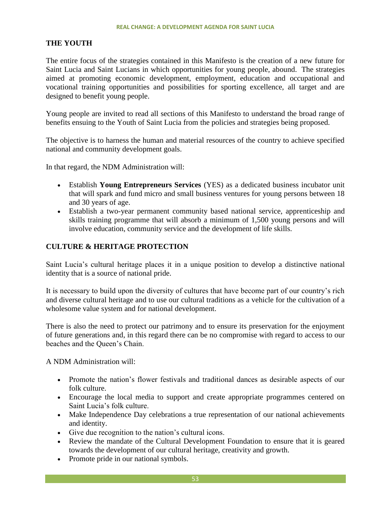#### **THE YOUTH**

The entire focus of the strategies contained in this Manifesto is the creation of a new future for Saint Lucia and Saint Lucians in which opportunities for young people, abound. The strategies aimed at promoting economic development, employment, education and occupational and vocational training opportunities and possibilities for sporting excellence, all target and are designed to benefit young people.

Young people are invited to read all sections of this Manifesto to understand the broad range of benefits ensuing to the Youth of Saint Lucia from the policies and strategies being proposed.

The objective is to harness the human and material resources of the country to achieve specified national and community development goals.

In that regard, the NDM Administration will:

- Establish **Young Entrepreneurs Services** (YES) as a dedicated business incubator unit that will spark and fund micro and small business ventures for young persons between 18 and 30 years of age.
- Establish a two-year permanent community based national service, apprenticeship and skills training programme that will absorb a minimum of 1,500 young persons and will involve education, community service and the development of life skills.

# **CULTURE & HERITAGE PROTECTION**

Saint Lucia's cultural heritage places it in a unique position to develop a distinctive national identity that is a source of national pride.

It is necessary to build upon the diversity of cultures that have become part of our country's rich and diverse cultural heritage and to use our cultural traditions as a vehicle for the cultivation of a wholesome value system and for national development.

There is also the need to protect our patrimony and to ensure its preservation for the enjoyment of future generations and, in this regard there can be no compromise with regard to access to our beaches and the Queen's Chain.

A NDM Administration will:

- Promote the nation's flower festivals and traditional dances as desirable aspects of our folk culture.
- Encourage the local media to support and create appropriate programmes centered on Saint Lucia's folk culture.
- Make Independence Day celebrations a true representation of our national achievements and identity.
- Give due recognition to the nation's cultural icons.
- Review the mandate of the Cultural Development Foundation to ensure that it is geared towards the development of our cultural heritage, creativity and growth.
- Promote pride in our national symbols.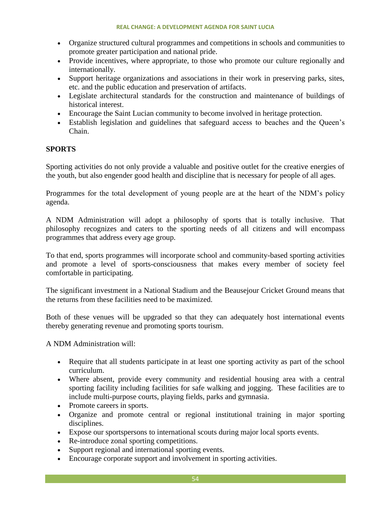- Organize structured cultural programmes and competitions in schools and communities to promote greater participation and national pride.
- Provide incentives, where appropriate, to those who promote our culture regionally and internationally.
- Support heritage organizations and associations in their work in preserving parks, sites, etc. and the public education and preservation of artifacts.
- Legislate architectural standards for the construction and maintenance of buildings of historical interest.
- Encourage the Saint Lucian community to become involved in heritage protection.
- Establish legislation and guidelines that safeguard access to beaches and the Queen's Chain.

#### **SPORTS**

Sporting activities do not only provide a valuable and positive outlet for the creative energies of the youth, but also engender good health and discipline that is necessary for people of all ages.

Programmes for the total development of young people are at the heart of the NDM's policy agenda.

A NDM Administration will adopt a philosophy of sports that is totally inclusive. That philosophy recognizes and caters to the sporting needs of all citizens and will encompass programmes that address every age group.

To that end, sports programmes will incorporate school and community-based sporting activities and promote a level of sports-consciousness that makes every member of society feel comfortable in participating.

The significant investment in a National Stadium and the Beausejour Cricket Ground means that the returns from these facilities need to be maximized.

Both of these venues will be upgraded so that they can adequately host international events thereby generating revenue and promoting sports tourism.

A NDM Administration will:

- Require that all students participate in at least one sporting activity as part of the school curriculum.
- Where absent, provide every community and residential housing area with a central sporting facility including facilities for safe walking and jogging. These facilities are to include multi-purpose courts, playing fields, parks and gymnasia.
- Promote careers in sports.
- Organize and promote central or regional institutional training in major sporting disciplines.
- Expose our sportspersons to international scouts during major local sports events.
- Re-introduce zonal sporting competitions.
- Support regional and international sporting events.
- Encourage corporate support and involvement in sporting activities.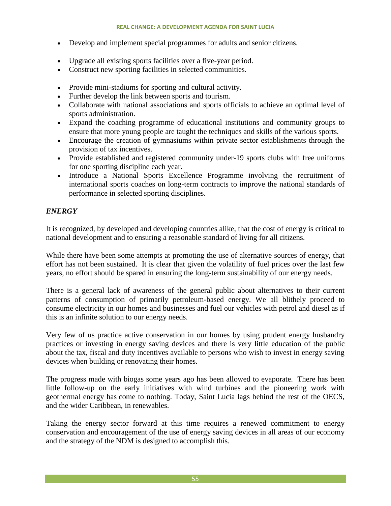- Develop and implement special programmes for adults and senior citizens.
- Upgrade all existing sports facilities over a five-year period.
- Construct new sporting facilities in selected communities.
- Provide mini-stadiums for sporting and cultural activity.
- Further develop the link between sports and tourism.
- Collaborate with national associations and sports officials to achieve an optimal level of sports administration.
- Expand the coaching programme of educational institutions and community groups to ensure that more young people are taught the techniques and skills of the various sports.
- $\overrightarrow{E}$  Encourage the creation of gymnasiums within private sector establishments through the provision of tax incentives.
- Provide established and registered community under-19 sports clubs with free uniforms for one sporting discipline each year.
- Introduce a National Sports Excellence Programme involving the recruitment of international sports coaches on long-term contracts to improve the national standards of performance in selected sporting disciplines.

# *ENERGY*

It is recognized, by developed and developing countries alike, that the cost of energy is critical to national development and to ensuring a reasonable standard of living for all citizens.

While there have been some attempts at promoting the use of alternative sources of energy, that effort has not been sustained. It is clear that given the volatility of fuel prices over the last few years, no effort should be spared in ensuring the long-term sustainability of our energy needs.

There is a general lack of awareness of the general public about alternatives to their current patterns of consumption of primarily petroleum-based energy. We all blithely proceed to consume electricity in our homes and businesses and fuel our vehicles with petrol and diesel as if this is an infinite solution to our energy needs.

Very few of us practice active conservation in our homes by using prudent energy husbandry practices or investing in energy saving devices and there is very little education of the public about the tax, fiscal and duty incentives available to persons who wish to invest in energy saving devices when building or renovating their homes.

The progress made with biogas some years ago has been allowed to evaporate. There has been little follow-up on the early initiatives with wind turbines and the pioneering work with geothermal energy has come to nothing. Today, Saint Lucia lags behind the rest of the OECS, and the wider Caribbean, in renewables.

Taking the energy sector forward at this time requires a renewed commitment to energy conservation and encouragement of the use of energy saving devices in all areas of our economy and the strategy of the NDM is designed to accomplish this.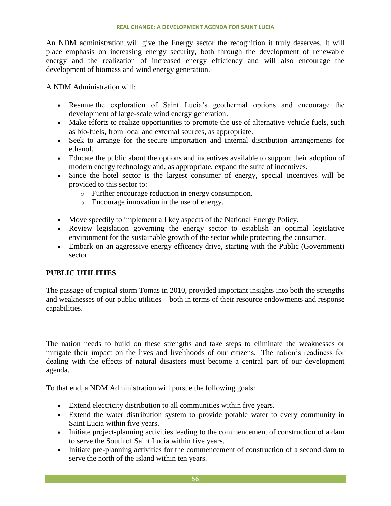An NDM administration will give the Energy sector the recognition it truly deserves. It will place emphasis on increasing energy security, both through the development of renewable energy and the realization of increased energy efficiency and will also encourage the development of biomass and wind energy generation.

A NDM Administration will:

- Resume the exploration of Saint Lucia's geothermal options and encourage the development of large-scale wind energy generation.
- Make efforts to realize opportunities to promote the use of alternative vehicle fuels, such as bio-fuels, from local and external sources, as appropriate.
- Seek to arrange for the secure importation and internal distribution arrangements for ethanol.
- Educate the public about the options and incentives available to support their adoption of modern energy technology and, as appropriate, expand the suite of incentives.
- Since the hotel sector is the largest consumer of energy, special incentives will be provided to this sector to:
	- o Further encourage reduction in energy consumption.
	- o Encourage innovation in the use of energy.
- Move speedily to implement all key aspects of the National Energy Policy.
- Review legislation governing the energy sector to establish an optimal legislative environment for the sustainable growth of the sector while protecting the consumer.
- Embark on an aggressive energy efficency drive, starting with the Public (Government) sector.

# **PUBLIC UTILITIES**

The passage of tropical storm Tomas in 2010, provided important insights into both the strengths and weaknesses of our public utilities – both in terms of their resource endowments and response capabilities.

The nation needs to build on these strengths and take steps to eliminate the weaknesses or mitigate their impact on the lives and livelihoods of our citizens. The nation's readiness for dealing with the effects of natural disasters must become a central part of our development agenda.

To that end, a NDM Administration will pursue the following goals:

- Extend electricity distribution to all communities within five years.
- Extend the water distribution system to provide potable water to every community in Saint Lucia within five years.
- Initiate project-planning activities leading to the commencement of construction of a dam to serve the South of Saint Lucia within five years.
- Initiate pre-planning activities for the commencement of construction of a second dam to serve the north of the island within ten years.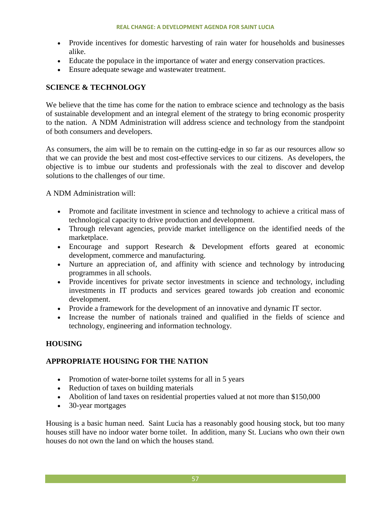- Provide incentives for domestic harvesting of rain water for households and businesses alike.
- Educate the populace in the importance of water and energy conservation practices.
- Ensure adequate sewage and wastewater treatment.

# **SCIENCE & TECHNOLOGY**

We believe that the time has come for the nation to embrace science and technology as the basis of sustainable development and an integral element of the strategy to bring economic prosperity to the nation. A NDM Administration will address science and technology from the standpoint of both consumers and developers.

As consumers, the aim will be to remain on the cutting-edge in so far as our resources allow so that we can provide the best and most cost-effective services to our citizens. As developers, the objective is to imbue our students and professionals with the zeal to discover and develop solutions to the challenges of our time.

A NDM Administration will:

- Promote and facilitate investment in science and technology to achieve a critical mass of technological capacity to drive production and development.
- Through relevant agencies, provide market intelligence on the identified needs of the marketplace.
- Encourage and support Research & Development efforts geared at economic development, commerce and manufacturing.
- Nurture an appreciation of, and affinity with science and technology by introducing programmes in all schools.
- Provide incentives for private sector investments in science and technology, including investments in IT products and services geared towards job creation and economic development.
- Provide a framework for the development of an innovative and dynamic IT sector.
- Increase the number of nationals trained and qualified in the fields of science and technology, engineering and information technology.

# **HOUSING**

# **APPROPRIATE HOUSING FOR THE NATION**

- Promotion of water-borne toilet systems for all in 5 years
- Reduction of taxes on building materials
- Abolition of land taxes on residential properties valued at not more than \$150,000
- 30-year mortgages

Housing is a basic human need. Saint Lucia has a reasonably good housing stock, but too many houses still have no indoor water borne toilet. In addition, many St. Lucians who own their own houses do not own the land on which the houses stand.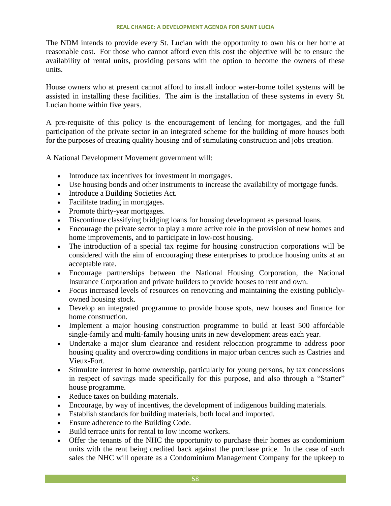The NDM intends to provide every St. Lucian with the opportunity to own his or her home at reasonable cost. For those who cannot afford even this cost the objective will be to ensure the availability of rental units, providing persons with the option to become the owners of these units.

House owners who at present cannot afford to install indoor water-borne toilet systems will be assisted in installing these facilities. The aim is the installation of these systems in every St. Lucian home within five years.

A pre-requisite of this policy is the encouragement of lending for mortgages, and the full participation of the private sector in an integrated scheme for the building of more houses both for the purposes of creating quality housing and of stimulating construction and jobs creation.

A National Development Movement government will:

- Introduce tax incentives for investment in mortgages.
- Use housing bonds and other instruments to increase the availability of mortgage funds.
- Introduce a Building Societies Act.
- Facilitate trading in mortgages.
- Promote thirty-year mortgages.
- Discontinue classifying bridging loans for housing development as personal loans.
- Encourage the private sector to play a more active role in the provision of new homes and home improvements, and to participate in low-cost housing.
- The introduction of a special tax regime for housing construction corporations will be considered with the aim of encouraging these enterprises to produce housing units at an acceptable rate.
- Encourage partnerships between the National Housing Corporation, the National Insurance Corporation and private builders to provide houses to rent and own.
- Focus increased levels of resources on renovating and maintaining the existing publiclyowned housing stock.
- Develop an integrated programme to provide house spots, new houses and finance for home construction.
- Implement a major housing construction programme to build at least 500 affordable single-family and multi-family housing units in new development areas each year.
- Undertake a major slum clearance and resident relocation programme to address poor housing quality and overcrowding conditions in major urban centres such as Castries and Vieux-Fort.
- Stimulate interest in home ownership, particularly for young persons, by tax concessions in respect of savings made specifically for this purpose, and also through a "Starter" house programme.
- Reduce taxes on building materials.
- Encourage, by way of incentives, the development of indigenous building materials.
- Establish standards for building materials, both local and imported.
- Ensure adherence to the Building Code.
- Build terrace units for rental to low income workers.
- Offer the tenants of the NHC the opportunity to purchase their homes as condominium units with the rent being credited back against the purchase price. In the case of such sales the NHC will operate as a Condominium Management Company for the upkeep to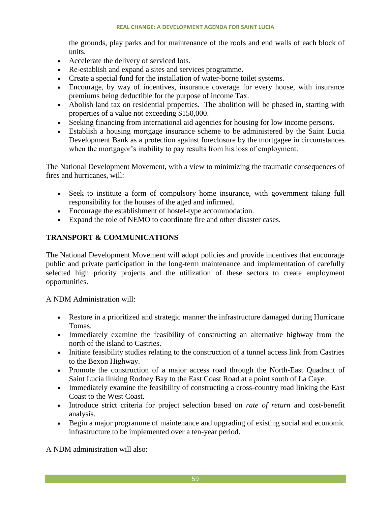the grounds, play parks and for maintenance of the roofs and end walls of each block of units.

- Accelerate the delivery of serviced lots.
- Re-establish and expand a sites and services programme.
- Create a special fund for the installation of water-borne toilet systems.
- Encourage, by way of incentives, insurance coverage for every house, with insurance premiums being deductible for the purpose of income Tax.
- Abolish land tax on residential properties. The abolition will be phased in, starting with properties of a value not exceeding \$150,000.
- Seeking financing from international aid agencies for housing for low income persons.
- Establish a housing mortgage insurance scheme to be administered by the Saint Lucia Development Bank as a protection against foreclosure by the mortgagee in circumstances when the mortgagor's inability to pay results from his loss of employment.

The National Development Movement, with a view to minimizing the traumatic consequences of fires and hurricanes, will:

- Seek to institute a form of compulsory home insurance, with government taking full responsibility for the houses of the aged and infirmed.
- Encourage the establishment of hostel-type accommodation.
- Expand the role of NEMO to coordinate fire and other disaster cases.

# **TRANSPORT & COMMUNICATIONS**

The National Development Movement will adopt policies and provide incentives that encourage public and private participation in the long-term maintenance and implementation of carefully selected high priority projects and the utilization of these sectors to create employment opportunities.

A NDM Administration will:

- Restore in a prioritized and strategic manner the infrastructure damaged during Hurricane Tomas.
- Immediately examine the feasibility of constructing an alternative highway from the north of the island to Castries.
- Initiate feasibility studies relating to the construction of a tunnel access link from Castries to the Bexon Highway.
- Promote the construction of a major access road through the North-East Quadrant of Saint Lucia linking Rodney Bay to the East Coast Road at a point south of La Caye.
- Immediately examine the feasibility of constructing a cross-country road linking the East Coast to the West Coast.
- Introduce strict criteria for project selection based on *rate of return* and cost-benefit analysis.
- Begin a major programme of maintenance and upgrading of existing social and economic infrastructure to be implemented over a ten-year period.

A NDM administration will also: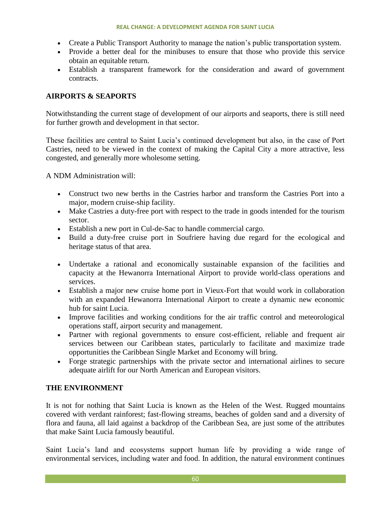- Create a Public Transport Authority to manage the nation's public transportation system.
- Provide a better deal for the minibuses to ensure that those who provide this service obtain an equitable return.
- Establish a transparent framework for the consideration and award of government contracts.

# **AIRPORTS & SEAPORTS**

Notwithstanding the current stage of development of our airports and seaports, there is still need for further growth and development in that sector.

These facilities are central to Saint Lucia's continued development but also, in the case of Port Castries, need to be viewed in the context of making the Capital City a more attractive, less congested, and generally more wholesome setting.

A NDM Administration will:

- Construct two new berths in the Castries harbor and transform the Castries Port into a major, modern cruise-ship facility.
- Make Castries a duty-free port with respect to the trade in goods intended for the tourism sector.
- Establish a new port in Cul-de-Sac to handle commercial cargo.
- Build a duty-free cruise port in Soufriere having due regard for the ecological and heritage status of that area.
- Undertake a rational and economically sustainable expansion of the facilities and capacity at the Hewanorra International Airport to provide world-class operations and services.
- Establish a major new cruise home port in Vieux-Fort that would work in collaboration with an expanded Hewanorra International Airport to create a dynamic new economic hub for saint Lucia.
- Improve facilities and working conditions for the air traffic control and meteorological operations staff, airport security and management.
- Partner with regional governments to ensure cost-efficient, reliable and frequent air services between our Caribbean states, particularly to facilitate and maximize trade opportunities the Caribbean Single Market and Economy will bring.
- Forge strategic partnerships with the private sector and international airlines to secure adequate airlift for our North American and European visitors.

# **THE ENVIRONMENT**

It is not for nothing that Saint Lucia is known as the Helen of the West. Rugged mountains covered with verdant rainforest; fast-flowing streams, beaches of golden sand and a diversity of flora and fauna, all laid against a backdrop of the Caribbean Sea, are just some of the attributes that make Saint Lucia famously beautiful.

Saint Lucia's land and ecosystems support human life by providing a wide range of environmental services, including water and food. In addition, the natural environment continues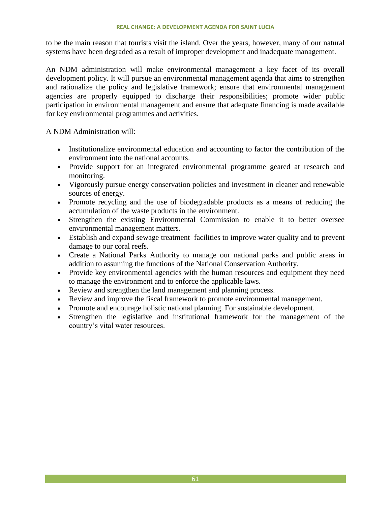#### **REAL CHANGE: A DEVELOPMENT AGENDA FOR SAINT LUCIA**

to be the main reason that tourists visit the island. Over the years, however, many of our natural systems have been degraded as a result of improper development and inadequate management.

An NDM administration will make environmental management a key facet of its overall development policy. It will pursue an environmental management agenda that aims to strengthen and rationalize the policy and legislative framework; ensure that environmental management agencies are properly equipped to discharge their responsibilities; promote wider public participation in environmental management and ensure that adequate financing is made available for key environmental programmes and activities.

A NDM Administration will:

- Institutionalize environmental education and accounting to factor the contribution of the environment into the national accounts.
- Provide support for an integrated environmental programme geared at research and monitoring.
- Vigorously pursue energy conservation policies and investment in cleaner and renewable sources of energy.
- Promote recycling and the use of biodegradable products as a means of reducing the accumulation of the waste products in the environment.
- Strengthen the existing Environmental Commission to enable it to better oversee environmental management matters.
- Establish and expand sewage treatment facilities to improve water quality and to prevent damage to our coral reefs.
- Create a National Parks Authority to manage our national parks and public areas in addition to assuming the functions of the National Conservation Authority.
- Provide key environmental agencies with the human resources and equipment they need to manage the environment and to enforce the applicable laws.
- Review and strengthen the land management and planning process.
- Review and improve the fiscal framework to promote environmental management.
- Promote and encourage holistic national planning. For sustainable development.
- Strengthen the legislative and institutional framework for the management of the country's vital water resources.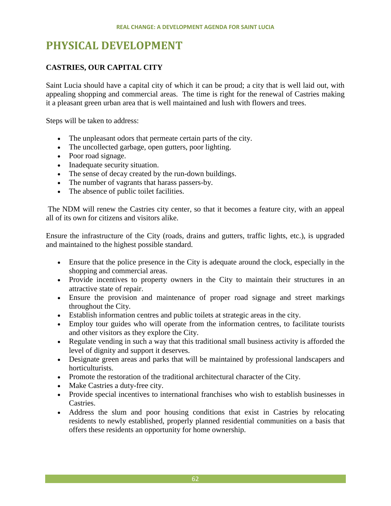# **PHYSICAL DEVELOPMENT**

# **CASTRIES, OUR CAPITAL CITY**

Saint Lucia should have a capital city of which it can be proud; a city that is well laid out, with appealing shopping and commercial areas. The time is right for the renewal of Castries making it a pleasant green urban area that is well maintained and lush with flowers and trees.

Steps will be taken to address:

- The unpleasant odors that permeate certain parts of the city.
- The uncollected garbage, open gutters, poor lighting.
- Poor road signage.
- Inadequate security situation.
- The sense of decay created by the run-down buildings.
- The number of vagrants that harass passers-by.
- The absence of public toilet facilities.

The NDM will renew the Castries city center, so that it becomes a feature city, with an appeal all of its own for citizens and visitors alike.

Ensure the infrastructure of the City (roads, drains and gutters, traffic lights, etc.), is upgraded and maintained to the highest possible standard.

- Ensure that the police presence in the City is adequate around the clock, especially in the shopping and commercial areas.
- Provide incentives to property owners in the City to maintain their structures in an attractive state of repair.
- Ensure the provision and maintenance of proper road signage and street markings throughout the City.
- Establish information centres and public toilets at strategic areas in the city.
- Employ tour guides who will operate from the information centres, to facilitate tourists and other visitors as they explore the City.
- Regulate vending in such a way that this traditional small business activity is afforded the level of dignity and support it deserves.
- Designate green areas and parks that will be maintained by professional landscapers and horticulturists.
- Promote the restoration of the traditional architectural character of the City.
- Make Castries a duty-free city.
- Provide special incentives to international franchises who wish to establish businesses in Castries.
- Address the slum and poor housing conditions that exist in Castries by relocating residents to newly established, properly planned residential communities on a basis that offers these residents an opportunity for home ownership.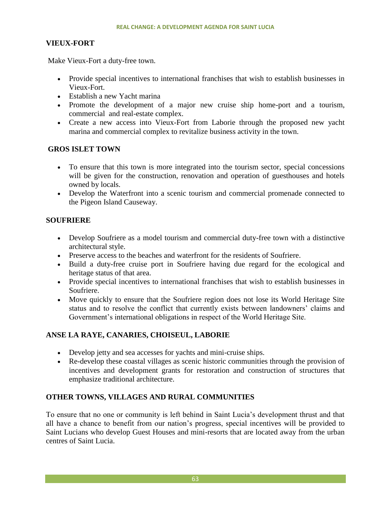# **VIEUX-FORT**

Make Vieux-Fort a duty-free town.

- Provide special incentives to international franchises that wish to establish businesses in Vieux-Fort.
- Establish a new Yacht marina
- Promote the development of a major new cruise ship home-port and a tourism, commercial and real-estate complex.
- Create a new access into Vieux-Fort from Laborie through the proposed new yacht marina and commercial complex to revitalize business activity in the town.

## **GROS ISLET TOWN**

- To ensure that this town is more integrated into the tourism sector, special concessions will be given for the construction, renovation and operation of guesthouses and hotels owned by locals.
- Develop the Waterfront into a scenic tourism and commercial promenade connected to the Pigeon Island Causeway.

## **SOUFRIERE**

- Develop Soufriere as a model tourism and commercial duty-free town with a distinctive architectural style.
- Preserve access to the beaches and waterfront for the residents of Soufriere.
- Build a duty-free cruise port in Soufriere having due regard for the ecological and heritage status of that area.
- Provide special incentives to international franchises that wish to establish businesses in Soufriere.
- Move quickly to ensure that the Soufriere region does not lose its World Heritage Site status and to resolve the conflict that currently exists between landowners' claims and Government's international obligations in respect of the World Heritage Site.

# **ANSE LA RAYE, CANARIES, CHOISEUL, LABORIE**

- Develop jetty and sea accesses for yachts and mini-cruise ships.
- Re-develop these coastal villages as scenic historic communities through the provision of incentives and development grants for restoration and construction of structures that emphasize traditional architecture.

# **OTHER TOWNS, VILLAGES AND RURAL COMMUNITIES**

To ensure that no one or community is left behind in Saint Lucia's development thrust and that all have a chance to benefit from our nation's progress, special incentives will be provided to Saint Lucians who develop Guest Houses and mini-resorts that are located away from the urban centres of Saint Lucia.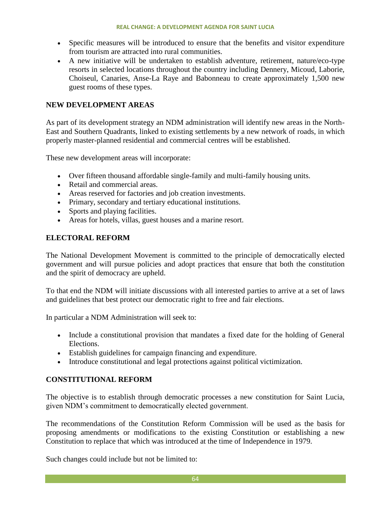- Specific measures will be introduced to ensure that the benefits and visitor expenditure from tourism are attracted into rural communities.
- A new initiative will be undertaken to establish adventure, retirement, nature/eco-type resorts in selected locations throughout the country including Dennery, Micoud, Laborie, Choiseul, Canaries, Anse-La Raye and Babonneau to create approximately 1,500 new guest rooms of these types.

## **NEW DEVELOPMENT AREAS**

As part of its development strategy an NDM administration will identify new areas in the North-East and Southern Quadrants, linked to existing settlements by a new network of roads, in which properly master-planned residential and commercial centres will be established.

These new development areas will incorporate:

- Over fifteen thousand affordable single-family and multi-family housing units.
- Retail and commercial areas.
- Areas reserved for factories and job creation investments.
- Primary, secondary and tertiary educational institutions.
- Sports and playing facilities.
- Areas for hotels, villas, guest houses and a marine resort.

## **ELECTORAL REFORM**

The National Development Movement is committed to the principle of democratically elected government and will pursue policies and adopt practices that ensure that both the constitution and the spirit of democracy are upheld.

To that end the NDM will initiate discussions with all interested parties to arrive at a set of laws and guidelines that best protect our democratic right to free and fair elections.

In particular a NDM Administration will seek to:

- Include a constitutional provision that mandates a fixed date for the holding of General Elections.
- Establish guidelines for campaign financing and expenditure.
- Introduce constitutional and legal protections against political victimization.

# **CONSTITUTIONAL REFORM**

The objective is to establish through democratic processes a new constitution for Saint Lucia, given NDM's commitment to democratically elected government.

The recommendations of the Constitution Reform Commission will be used as the basis for proposing amendments or modifications to the existing Constitution or establishing a new Constitution to replace that which was introduced at the time of Independence in 1979.

Such changes could include but not be limited to: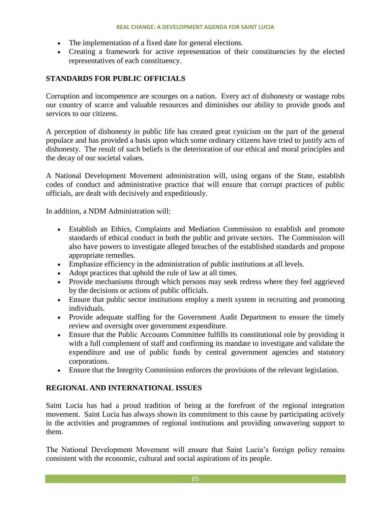#### **REAL CHANGE: A DEVELOPMENT AGENDA FOR SAINT LUCIA**

- The implementation of a fixed date for general elections.
- Creating a framework for active representation of their constituencies by the elected representatives of each constituency.

# **STANDARDS FOR PUBLIC OFFICIALS**

Corruption and incompetence are scourges on a nation. Every act of dishonesty or wastage robs our country of scarce and valuable resources and diminishes our ability to provide goods and services to our citizens.

A perception of dishonesty in public life has created great cynicism on the part of the general populace and has provided a basis upon which some ordinary citizens have tried to justify acts of dishonesty. The result of such beliefs is the deterioration of our ethical and moral principles and the decay of our societal values.

A National Development Movement administration will, using organs of the State, establish codes of conduct and administrative practice that will ensure that corrupt practices of public officials, are dealt with decisively and expeditiously.

In addition, a NDM Administration will:

- Establish an Ethics, Complaints and Mediation Commission to establish and promote standards of ethical conduct in both the public and private sectors. The Commission will also have powers to investigate alleged breaches of the established standards and propose appropriate remedies.
- Emphasize efficiency in the administration of public institutions at all levels.
- Adopt practices that uphold the rule of law at all times.
- Provide mechanisms through which persons may seek redress where they feel aggrieved by the decisions or actions of public officials.
- Ensure that public sector institutions employ a merit system in recruiting and promoting individuals.
- Provide adequate staffing for the Government Audit Department to ensure the timely review and oversight over government expenditure.
- Ensure that the Public Accounts Committee fulfills its constitutional role by providing it with a full complement of staff and confirming its mandate to investigate and validate the expenditure and use of public funds by central government agencies and statutory corporations.
- Ensure that the Integrity Commission enforces the provisions of the relevant legislation.

# **REGIONAL AND INTERNATIONAL ISSUES**

Saint Lucia has had a proud tradition of being at the forefront of the regional integration movement. Saint Lucia has always shown its commitment to this cause by participating actively in the activities and programmes of regional institutions and providing unwavering support to them.

The National Development Movement will ensure that Saint Lucia's foreign policy remains consistent with the economic, cultural and social aspirations of its people.